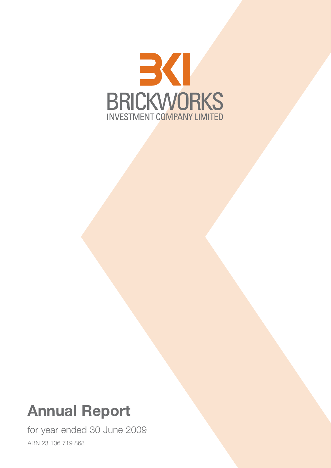

# **Annual Report**

for year ended 30 June 2009 ABN 23 106 719 868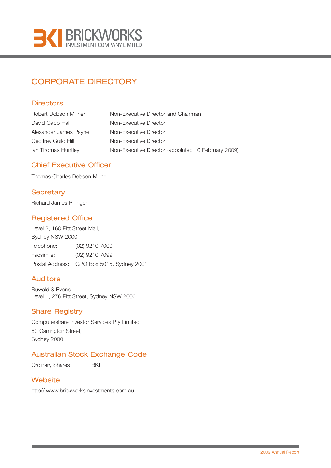

## CORPORATE DIRECTORY

### **Directors**

| Robert Dobson Millner | Non-Executive Director and Chairman                 |
|-----------------------|-----------------------------------------------------|
| David Capp Hall       | Non-Executive Director                              |
| Alexander James Payne | Non-Executive Director                              |
| Geoffrey Guild Hill   | Non-Executive Director                              |
| Ian Thomas Huntley    | Non-Executive Director (appointed 10 February 2009) |

### Chief Executive Officer

Thomas Charles Dobson Millner

### **Secretary**

Richard James Pillinger

## Registered Office

Level 2, 160 Pitt Street Mall, Sydney NSW 2000 Telephone: (02) 9210 7000 Facsimile: (02) 9210 7099 Postal Address: GPO Box 5015, Sydney 2001

### Auditors

Ruwald & Evans Level 1, 276 Pitt Street, Sydney NSW 2000

### Share Registry

Computershare Investor Services Pty Limited 60 Carrington Street, Sydney 2000

## Australian Stock Exchange Code

Ordinary Shares **BKI** 

### **Website**

http//:www.brickworksinvestments.com.au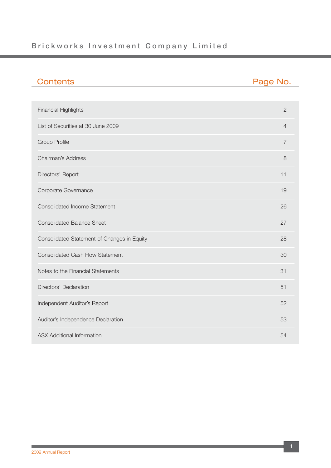## **Brickworks Investment Company Limited**

| <b>Contents</b>                             | Page No.       |
|---------------------------------------------|----------------|
|                                             |                |
| <b>Financial Highlights</b>                 | $\overline{2}$ |
| List of Securities at 30 June 2009          | $\overline{4}$ |
| <b>Group Profile</b>                        | $\overline{7}$ |
| <b>Chairman's Address</b>                   | 8              |
| Directors' Report                           | 11             |
| Corporate Governance                        | 19             |
| <b>Consolidated Income Statement</b>        | 26             |
| <b>Consolidated Balance Sheet</b>           | 27             |
| Consolidated Statement of Changes in Equity | 28             |
| <b>Consolidated Cash Flow Statement</b>     | 30             |
| Notes to the Financial Statements           | 31             |
| Directors' Declaration                      | 51             |
| Independent Auditor's Report                | 52             |
| Auditor's Independence Declaration          | 53             |
| <b>ASX Additional Information</b>           | 54             |

 $\sim 10$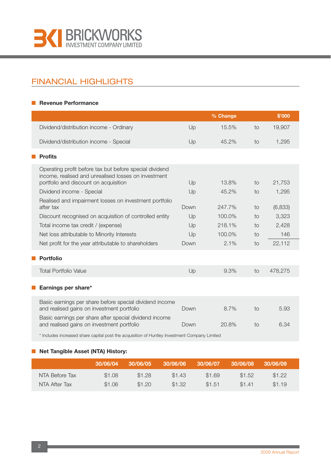

## FINANCIAL HIGHLIGHTS

#### ■ **Revenue Performance**

|                                                                                                                                                          |      | % Change |    | \$'000  |
|----------------------------------------------------------------------------------------------------------------------------------------------------------|------|----------|----|---------|
| Dividend/distribution income - Ordinary                                                                                                                  | Up   | 15.5%    | to | 19,907  |
| Dividend/distribution income - Special                                                                                                                   | Up   | 45.2%    | to | 1,295   |
| <b>Profits</b>                                                                                                                                           |      |          |    |         |
| Operating profit before tax but before special dividend<br>income, realised and unrealised losses on investment<br>portfolio and discount on acquisition | Up   | 13.8%    | to | 21,753  |
| Dividend income - Special                                                                                                                                | Up   | 45.2%    | to | 1,295   |
| Realised and impairment losses on investment portfolio<br>after tax                                                                                      | Down | 247.7%   | to | (6,833) |
| Discount recognised on acquisition of controlled entity                                                                                                  | Up   | 100.0%   | to | 3,323   |
| Total income tax credit / (expense)                                                                                                                      | Up   | 218.1%   | to | 2,428   |
| Net loss attributable to Minority Interests                                                                                                              | Up   | 100.0%   | to | 146     |
| Net profit for the year attributable to shareholders                                                                                                     | Down | 2.1%     | to | 22,112  |
| <b>Portfolio</b>                                                                                                                                         |      |          |    |         |
| <b>Total Portfolio Value</b>                                                                                                                             | Up   | 9.3%     | to | 478,275 |
| Earnings per share*                                                                                                                                      |      |          |    |         |
| Basic earnings per share before special dividend income<br>and realised gains on investment portfolio                                                    | Down | 8.7%     | to | 5.93    |
| Basic earnings per share after special dividend income<br>and realised gains on investment portfolio                                                     | Down | 20.8%    | to | 6.34    |

\* Includes increased share capital post the acquisition of Huntley Investment Company Limited

#### ■ **Net Tangible Asset (NTA) History:**

|                | 30/06/04 | 30/06/05 | 30/06/06 | 30/06/07 | 30/06/08 | 30/06/09 |  |
|----------------|----------|----------|----------|----------|----------|----------|--|
| NTA Before Tax | \$1.08   | \$1.28   | \$1.43   | \$1.69   | \$1.52   | \$1.22   |  |
| NTA After Tax  | \$1.06   | \$1.20   | \$1.32   | \$1.51   | \$1.41   | \$1.19   |  |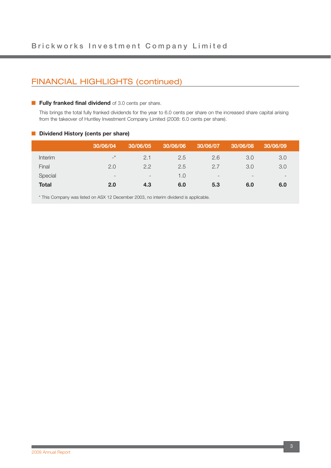## FINANCIAL HIGHLIGHTS (continued)

#### **Fully franked final dividend** of 3.0 cents per share.

This brings the total fully franked dividends for the year to 6.0 cents per share on the increased share capital arising from the takeover of Huntley Investment Company Limited (2008: 6.0 cents per share).

#### ■ **Dividend History (cents per share)**

| 30/06/04                   | 30/06/05                 | 30/06/06 | 30/06/07                 | 30/06/08                 | 30/06/09                 |
|----------------------------|--------------------------|----------|--------------------------|--------------------------|--------------------------|
| $\overline{\phantom{0}}^*$ | 2.1                      | 2.5      | 2.6                      | 3.0                      | 3.0                      |
| 2.0                        | 2.2                      | 2.5      | 2.7                      | 3.0                      | 3.0                      |
| $\overline{\phantom{a}}$   | $\overline{\phantom{0}}$ | 1.0      | $\overline{\phantom{a}}$ | $\overline{\phantom{0}}$ | $\overline{\phantom{0}}$ |
| 2.0                        | 4.3                      | 6.0      | 5.3                      | 6.0                      | 6.0                      |
|                            |                          |          |                          |                          |                          |

\* This Company was listed on ASX 12 December 2003, no interim dividend is applicable.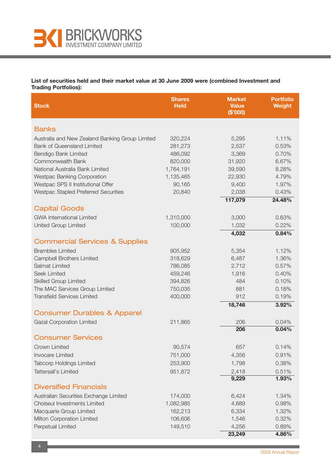

**List of securities held and their market value at 30 June 2009 were (combined Investment and Trading Portfolios):**

| <b>Stock</b>                                                                         | <b>Shares</b><br><b>Held</b> | <b>Market</b><br><b>Value</b><br>(\$'000) | <b>Portfolio</b><br><b>Weight</b> |
|--------------------------------------------------------------------------------------|------------------------------|-------------------------------------------|-----------------------------------|
| <b>Banks</b>                                                                         |                              |                                           |                                   |
|                                                                                      |                              |                                           |                                   |
| Australia and New Zealand Banking Group Limited<br><b>Bank of Queensland Limited</b> | 320,224<br>281,273           | 5,295<br>2,537                            | 1.11%<br>0.53%                    |
| Bendigo Bank Limited                                                                 | 486,092                      | 3,369                                     | 0.70%                             |
| Commonwealth Bank                                                                    | 820,000                      | 31,920                                    | 6.67%                             |
| National Australia Bank Limited                                                      | 1,764,191                    | 39,590                                    | 8.28%                             |
| Westpac Banking Corporation                                                          | 1,135,465                    | 22,930                                    | 4.79%                             |
| Westpac SPS II Institutional Offer                                                   | 90,165                       | 9,400                                     | 1.97%                             |
| Westpac Stapled Preferred Securities                                                 | 20,840                       | 2,038                                     | 0.43%                             |
|                                                                                      |                              | 117,079                                   | 24.48%                            |
| <b>Capital Goods</b>                                                                 |                              |                                           |                                   |
| <b>GWA International Limited</b>                                                     | 1,310,000                    | 3,000                                     | 0.63%                             |
| United Group Limited                                                                 | 100,000                      | 1,032                                     | 0.22%                             |
|                                                                                      |                              | 4,032                                     | 0.84%                             |
| <b>Commercial Services &amp; Supplies</b>                                            |                              |                                           |                                   |
| <b>Brambles Limited</b>                                                              | 905,952                      | 5,354                                     | 1.12%                             |
| <b>Campbell Brothers Limited</b>                                                     | 318,629                      | 6,487                                     | 1.36%                             |
| Salmat Limited                                                                       | 786,085                      | 2,712                                     | 0.57%                             |
| Seek Limited                                                                         | 459,246                      | 1,916                                     | 0.40%                             |
| <b>Skilled Group Limited</b>                                                         | 394,826                      | 484                                       | 0.10%                             |
| The MAC Services Group Limited                                                       | 750,035                      | 881                                       | 0.18%                             |
| <b>Transfield Services Limited</b>                                                   | 400,000                      | 912                                       | 0.19%                             |
|                                                                                      |                              | 18,746                                    | 3.92%                             |
| <b>Consumer Durables &amp; Apparel</b>                                               |                              |                                           |                                   |
| <b>Gazal Corporation Limited</b>                                                     | 211,865                      | 206                                       | 0.04%                             |
|                                                                                      |                              | 206                                       | 0.04%                             |
| <b>Consumer Services</b>                                                             |                              |                                           |                                   |
| Crown Limited                                                                        | 90,574                       | 657                                       | 0.14%                             |
| <b>Invocare Limited</b>                                                              | 751,000                      | 4,356                                     | 0.91%                             |
| <b>Tabcorp Holdings Limited</b>                                                      | 253,900                      | 1,798                                     | 0.38%                             |
| Tattersall's Limited                                                                 | 951,872                      | 2,418                                     | 0.51%                             |
|                                                                                      |                              | 9,229                                     | 1.93%                             |
| <b>Diversified Financials</b>                                                        |                              |                                           |                                   |
| Australian Securities Exchange Limited                                               | 174,000                      | 6,424                                     | 1.34%                             |
| Choiseul Investments Limited                                                         | 1,082,985                    | 4,689                                     | 0.98%                             |
| Macquarie Group Limited                                                              | 162,213                      | 6,334                                     | 1.32%                             |
| Milton Corporation Limited                                                           | 106,606                      | 1,546                                     | 0.32%                             |
| Perpetual Limited                                                                    | 149,510                      | 4,256                                     | 0.89%                             |
|                                                                                      |                              | 23,249                                    | 4.86%                             |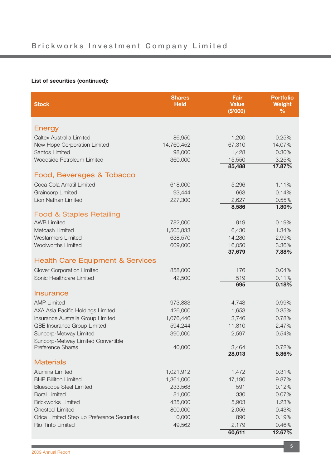## **List of securities (continued):**

| <b>Stock</b>                                   | <b>Shares</b><br><b>Held</b> | Fair<br><b>Value</b><br>(\$'000) | <b>Portfolio</b><br><b>Weight</b><br>$\frac{0}{0}$ |
|------------------------------------------------|------------------------------|----------------------------------|----------------------------------------------------|
| <b>Energy</b>                                  |                              |                                  |                                                    |
|                                                |                              |                                  |                                                    |
| Caltex Australia Limited                       | 86,950                       | 1,200                            | 0.25%<br>14.07%                                    |
| New Hope Corporation Limited<br>Santos Limited | 14,760,452<br>98,000         | 67,310<br>1,428                  | 0.30%                                              |
| Woodside Petroleum Limited                     | 360,000                      | 15,550                           | 3.25%                                              |
|                                                |                              | 85,488                           | 17.87%                                             |
| Food, Beverages & Tobacco                      |                              |                                  |                                                    |
| Coca Cola Amatil Limited                       | 618,000                      | 5,296                            | 1.11%                                              |
| <b>Graincorp Limited</b>                       | 93,444                       | 663                              | 0.14%                                              |
| Lion Nathan Limited                            | 227,300                      | 2,627                            | 0.55%                                              |
|                                                |                              | 8,586                            | 1.80%                                              |
| <b>Food &amp; Staples Retailing</b>            |                              |                                  |                                                    |
| <b>AWB Limited</b>                             | 782,000                      | 919                              | 0.19%                                              |
| Metcash Limited                                | 1,505,833                    | 6,430                            | 1.34%                                              |
| <b>Wesfarmers Limited</b>                      | 638,570                      | 14,280                           | 2.99%                                              |
| <b>Woolworths Limited</b>                      | 609,000                      | 16,050                           | 3.36%                                              |
|                                                |                              | 37,679                           | 7.88%                                              |
| <b>Health Care Equipment &amp; Services</b>    |                              |                                  |                                                    |
| <b>Clover Corporation Limited</b>              | 858,000                      | 176                              | 0.04%                                              |
| Sonic Healthcare Limited                       | 42,500                       | 519                              | 0.11%                                              |
|                                                |                              | 695                              | 0.18%                                              |
| <b>Insurance</b>                               |                              |                                  |                                                    |
| <b>AMP Limited</b>                             | 973,833                      | 4,743                            | 0.99%                                              |
| AXA Asia Pacific Holdings Limited              | 426,000                      | 1,653                            | 0.35%                                              |
| Insurance Australia Group Limited              | 1,076,446                    | 3,746                            | 0.78%                                              |
| QBE Insurance Group Limited                    | 594,244                      | 11,810                           | 2.47%                                              |
| Suncorp-Metway Limited                         | 390,000                      | 2,597                            | 0.54%                                              |
| Suncorp-Metway Limited Convertible             |                              |                                  |                                                    |
| <b>Preference Shares</b>                       | 40,000                       | 3,464                            | 0.72%                                              |
| <b>Materials</b>                               |                              | 28,013                           | 5.86%                                              |
| Alumina Limited                                |                              |                                  |                                                    |
| <b>BHP Billiton Limited</b>                    | 1,021,912<br>1,361,000       | 1,472<br>47,190                  | 0.31%<br>9.87%                                     |
| <b>Bluescope Steel Limited</b>                 | 233,568                      | 591                              | 0.12%                                              |
| <b>Boral Limited</b>                           | 81,000                       | 330                              | 0.07%                                              |
| <b>Brickworks Limited</b>                      | 435,000                      | 5,903                            | 1.23%                                              |
| <b>Onesteel Limited</b>                        | 800,000                      | 2,056                            | 0.43%                                              |
| Orica Limited Step up Preference Securities    | 10,000                       | 890                              | 0.19%                                              |
| Rio Tinto Limited                              | 49,562                       | 2,179                            | 0.46%                                              |
|                                                |                              | 60,611                           | 12.67%                                             |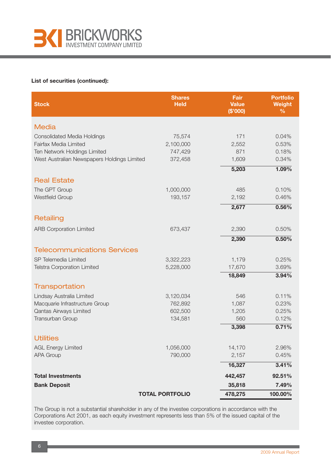

#### **List of securities (continued):**

| <b>Stock</b>                                | <b>Shares</b><br><b>Held</b> | Fair<br><b>Value</b><br>(\$'000) | <b>Portfolio</b><br><b>Weight</b><br>$\frac{0}{0}$ |
|---------------------------------------------|------------------------------|----------------------------------|----------------------------------------------------|
| <b>Media</b>                                |                              |                                  |                                                    |
| <b>Consolidated Media Holdings</b>          | 75,574                       | 171                              | 0.04%                                              |
| Fairfax Media Limited                       | 2,100,000                    | 2,552                            | 0.53%                                              |
| Ten Network Holdings Limited                | 747,429                      | 871                              | 0.18%                                              |
| West Australian Newspapers Holdings Limited | 372,458                      | 1,609                            | 0.34%                                              |
|                                             |                              | 5,203                            | $1.09\%$                                           |
| <b>Real Estate</b>                          |                              |                                  |                                                    |
| The GPT Group                               | 1,000,000                    | 485                              | 0.10%                                              |
| <b>Westfield Group</b>                      | 193,157                      | 2,192                            | 0.46%                                              |
|                                             |                              | 2,677                            | 0.56%                                              |
| Retailing                                   |                              |                                  |                                                    |
| <b>ARB Corporation Limited</b>              | 673,437                      | 2,390                            | 0.50%                                              |
|                                             |                              | 2,390                            | 0.50%                                              |
| <b>Telecommunications Services</b>          |                              |                                  |                                                    |
| SP Telemedia Limited                        | 3,322,223                    | 1,179                            | 0.25%                                              |
| <b>Telstra Corporation Limited</b>          | 5,228,000                    | 17,670                           | 3.69%                                              |
|                                             |                              | 18,849                           | 3.94%                                              |
| Transportation                              |                              |                                  |                                                    |
| Lindsay Australia Limited                   | 3,120,034                    | 546                              | 0.11%                                              |
| Macquarie Infrastructure Group              | 762,892                      | 1,087                            | 0.23%                                              |
| Qantas Airways Limited                      | 602,500                      | 1,205                            | 0.25%                                              |
| Transurban Group                            | 134,581                      | 560                              | 0.12%                                              |
|                                             |                              | 3,398                            | 0.71%                                              |
| <b>Utilities</b>                            |                              |                                  |                                                    |
| <b>AGL Energy Limited</b>                   | 1,056,000                    | 14,170                           | 2.96%                                              |
| <b>APA Group</b>                            | 790,000                      | 2,157                            | 0.45%                                              |
|                                             |                              | 16,327                           | 3.41%                                              |
| <b>Total Investments</b>                    |                              | 442,457                          | 92.51%                                             |
| <b>Bank Deposit</b>                         |                              | 35,818                           | 7.49%                                              |
|                                             | <b>TOTAL PORTFOLIO</b>       | 478,275                          | 100.00%                                            |

The Group is not a substantial shareholder in any of the investee corporations in accordance with the Corporations Act 2001, as each equity investment represents less than 5% of the issued capital of the investee corporation.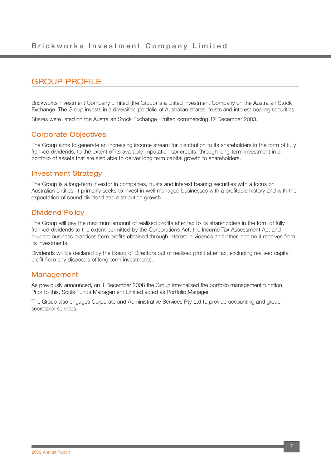## GROUP PROFILE

Brickworks Investment Company Limited (the Group) is a Listed Investment Company on the Australian Stock Exchange. The Group invests in a diversified portfolio of Australian shares, trusts and interest bearing securities.

Shares were listed on the Australian Stock Exchange Limited commencing 12 December 2003.

### Corporate Objectives

The Group aims to generate an increasing income stream for distribution to its shareholders in the form of fully franked dividends, to the extent of its available imputation tax credits, through long-term investment in a portfolio of assets that are also able to deliver long term capital growth to shareholders.

### Investment Strategy

The Group is a long-term investor in companies, trusts and interest bearing securities with a focus on Australian entities. It primarily seeks to invest in well-managed businesses with a profitable history and with the expectation of sound dividend and distribution growth.

### Dividend Policy

The Group will pay the maximum amount of realised profits after tax to its shareholders in the form of fully franked dividends to the extent permitted by the Corporations Act, the Income Tax Assessment Act and prudent business practices from profits obtained through interest, dividends and other income it receives from its investments.

Dividends will be declared by the Board of Directors out of realised profit after tax, excluding realised capital profit from any disposals of long-term investments.

### Management

As previously announced, on 1 December 2008 the Group internalised the portfolio management function. Prior to this, Souls Funds Management Limited acted as Portfolio Manager.

The Group also engages Corporate and Administrative Services Pty Ltd to provide accounting and group secretarial services.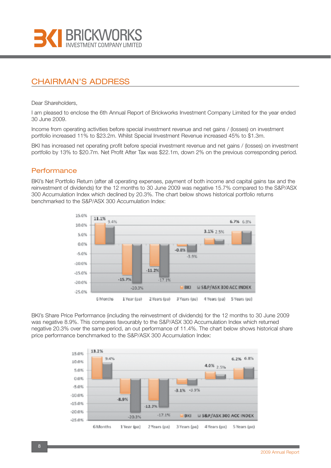

## CHAIRMAN'S ADDRESS

Dear Shareholders,

I am pleased to enclose the 6th Annual Report of Brickworks Investment Company Limited for the year ended 30 June 2009.

Income from operating activities before special investment revenue and net gains / (losses) on investment portfolio increased 11% to \$23.2m. Whilst Special Investment Revenue increased 45% to \$1.3m.

BKI has increased net operating profit before special investment revenue and net gains / (losses) on investment portfolio by 13% to \$20.7m. Net Profit After Tax was \$22.1m, down 2% on the previous corresponding period.

### **Performance**

BKI's Net Portfolio Return (after all operating expenses, payment of both income and capital gains tax and the reinvestment of dividends) for the 12 months to 30 June 2009 was negative 15.7% compared to the S&P/ASX 300 Accumulation Index which declined by 20.3%. The chart below shows historical portfolio returns benchmarked to the S&P/ASX 300 Accumulation Index:



BKI's Share Price Performance (including the reinvestment of dividends) for the 12 months to 30 June 2009 was negative 8.9%. This compares favourably to the S&P/ASX 300 Accumulation Index which returned negative 20.3% over the same period, an out performance of 11.4%. The chart below shows historical share price performance benchmarked to the S&P/ASX 300 Accumulation Index:

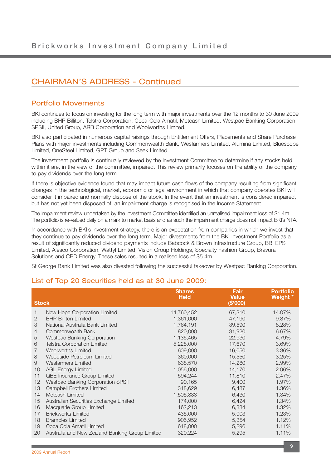## CHAIRMAN'S ADDRESS - Continued

### Portfolio Movements

BKI continues to focus on investing for the long term with major investments over the 12 months to 30 June 2009 including BHP Billiton, Telstra Corporation, Coca-Cola Amatil, Metcash Limited, Westpac Banking Corporation SPSII, United Group, ARB Corporation and Woolworths Limited.

BKI also participated in numerous capital raisings through Entitlement Offers, Placements and Share Purchase Plans with major investments including Commonwealth Bank, Wesfarmers Limited, Alumina Limited, Bluescope Limited, OneSteel Limited, GPT Group and Seek Limited.

The investment portfolio is continually reviewed by the Investment Committee to determine if any stocks held within it are, in the view of the committee, impaired. This review primarily focuses on the ability of the company to pay dividends over the long term.

If there is objective evidence found that may impact future cash flows of the company resulting from significant changes in the technological, market, economic or legal environment in which that company operates BKI will consider it impaired and normally dispose of the stock. In the event that an investment is considered impaired, but has not yet been disposed of, an impairment charge is recognised in the Income Statement.

The impairment review undertaken by the Investment Committee identified an unrealised impairment loss of \$1.4m. The portfolio is re-valued daily on a mark to market basis and as such the impairment charge does not impact BKI's NTA.

In accordance with BKI's investment strategy, there is an expectation from companies in which we invest that they continue to pay dividends over the long term. Major divestments from the BKI Investment Portfolio as a result of significantly reduced dividend payments include Babcock & Brown Infrastructure Group, BBI EPS Limited, Alesco Corporation, Wattyl Limited, Vision Group Holdings, Specialty Fashion Group, Bravura Solutions and CBD Energy. These sales resulted in a realised loss of \$5.4m.

St George Bank Limited was also divested following the successful takeover by Westpac Banking Corporation.

### List of Top 20 Securities held as at 30 June 2009:

|                |                                                 | <b>Shares</b><br><b>Held</b> | <b>Fair</b><br><b>Value</b> | <b>Portfolio</b><br>Weight * |
|----------------|-------------------------------------------------|------------------------------|-----------------------------|------------------------------|
| <b>Stock</b>   |                                                 |                              | (\$'000)                    |                              |
|                | New Hope Corporation Limited                    | 14,760,452                   | 67,310                      | 14.07%                       |
| 2              | <b>BHP Billiton Limited</b>                     | 1,361,000                    | 47,190                      | 9.87%                        |
| 3              | National Australia Bank Limited                 | 1,764,191                    | 39,590                      | 8.28%                        |
| 4              | Commonwealth Bank                               | 820,000                      | 31,920                      | 6.67%                        |
| 5              | Westpac Banking Corporation                     | 1,135,465                    | 22,930                      | 4.79%                        |
| 6              | <b>Telstra Corporation Limited</b>              | 5,228,000                    | 17,670                      | 3.69%                        |
| $\overline{7}$ | <b>Woolworths Limited</b>                       | 609,000                      | 16,050                      | 3.36%                        |
| 8              | Woodside Petroleum Limited                      | 360,000                      | 15,550                      | 3.25%                        |
| 9              | <b>Wesfarmers Limited</b>                       | 638,570                      | 14,280                      | 2.99%                        |
| 10             | <b>AGL Energy Limited</b>                       | 1,056,000                    | 14,170                      | 2.96%                        |
| 11             | QBE Insurance Group Limited                     | 594,244                      | 11,810                      | 2.47%                        |
| 12             | <b>Westpac Banking Corporation SPSII</b>        | 90,165                       | 9,400                       | 1.97%                        |
| 13             | Campbell Brothers Limited                       | 318,629                      | 6,487                       | 1.36%                        |
| 14             | Metcash Limited                                 | 1,505,833                    | 6,430                       | 1.34%                        |
| 15             | Australian Securities Exchange Limited          | 174,000                      | 6,424                       | 1.34%                        |
| 16             | Macquarie Group Limited                         | 162,213                      | 6,334                       | 1.32%                        |
| 17             | <b>Brickworks Limited</b>                       | 435,000                      | 5,903                       | 1.23%                        |
| 18             | <b>Brambles Limited</b>                         | 905,952                      | 5,354                       | 1.12%                        |
| 19             | Coca Cola Amatil Limited                        | 618,000                      | 5,296                       | 1.11%                        |
| 20             | Australia and New Zealand Banking Group Limited | 320,224                      | 5,295                       | 1.11%                        |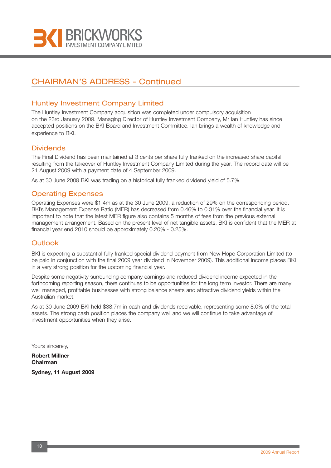

## CHAIRMAN'S ADDRESS - Continued

### Huntley Investment Company Limited

The Huntley Investment Company acquisition was completed under compulsory acquisition on the 23rd January 2009. Managing Director of Huntley Investment Company, Mr Ian Huntley has since accepted positions on the BKI Board and Investment Committee. Ian brings a wealth of knowledge and experience to BKI.

### **Dividends**

The Final Dividend has been maintained at 3 cents per share fully franked on the increased share capital resulting from the takeover of Huntley Investment Company Limited during the year. The record date will be 21 August 2009 with a payment date of 4 September 2009.

As at 30 June 2009 BKI was trading on a historical fully franked dividend yield of 5.7%.

### Operating Expenses

Operating Expenses were \$1.4m as at the 30 June 2009, a reduction of 29% on the corresponding period. BKI's Management Expense Ratio (MER) has decreased from 0.46% to 0.31% over the financial year. It is important to note that the latest MER figure also contains 5 months of fees from the previous external management arrangement. Based on the present level of net tangible assets, BKI is confident that the MER at financial year end 2010 should be approximately 0.20% - 0.25%.

### **Outlook**

BKI is expecting a substantial fully franked special dividend payment from New Hope Corporation Limited (to be paid in conjunction with the final 2009 year dividend in November 2009). This additional income places BKI in a very strong position for the upcoming financial year.

Despite some negativity surrounding company earnings and reduced dividend income expected in the forthcoming reporting season, there continues to be opportunities for the long term investor. There are many well managed, profitable businesses with strong balance sheets and attractive dividend yields within the Australian market.

As at 30 June 2009 BKI held \$38.7m in cash and dividends receivable, representing some 8.0% of the total assets. The strong cash position places the company well and we will continue to take advantage of investment opportunities when they arise.

Yours sincerely,

**Robert Millner Chairman**

**Sydney, 11 August 2009**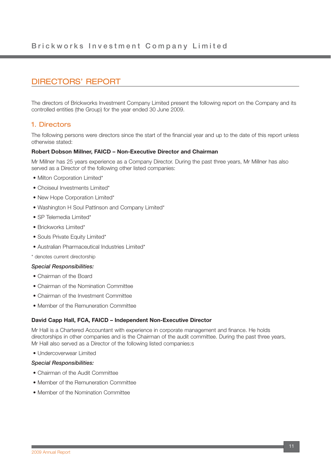## DIRECTORS' REPORT

The directors of Brickworks Investment Company Limited present the following report on the Company and its controlled entities (the Group) for the year ended 30 June 2009.

### 1. Directors

The following persons were directors since the start of the financial year and up to the date of this report unless otherwise stated:

#### **Robert Dobson Millner, FAICD – Non-Executive Director and Chairman**

Mr Millner has 25 years experience as a Company Director. During the past three years, Mr Millner has also served as a Director of the following other listed companies:

- Milton Corporation Limited\*
- Choiseul Investments Limited\*
- New Hope Corporation Limited\*
- Washington H Soul Pattinson and Company Limited\*
- SP Telemedia Limited\*
- Brickworks Limited\*
- Souls Private Equity Limited\*
- Australian Pharmaceutical Industries Limited\*

\* denotes current directorship

#### *Special Responsibilities:*

- Chairman of the Board
- Chairman of the Nomination Committee
- Chairman of the Investment Committee
- Member of the Remuneration Committee

#### **David Capp Hall, FCA, FAICD – Independent Non-Executive Director**

Mr Hall is a Chartered Accountant with experience in corporate management and finance. He holds directorships in other companies and is the Chairman of the audit committee. During the past three years, Mr Hall also served as a Director of the following listed companies:s

• Undercoverwear Limited

#### *Special Responsibilities:*

- Chairman of the Audit Committee
- Member of the Remuneration Committee
- Member of the Nomination Committee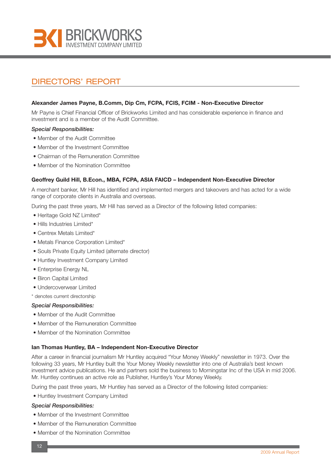

## DIRECTORS' REPORT

#### **Alexander James Payne, B.Comm, Dip Cm, FCPA, FCIS, FCIM - Non-Executive Director**

Mr Payne is Chief Financial Officer of Brickworks Limited and has considerable experience in finance and investment and is a member of the Audit Committee.

#### *Special Responsibilities:*

- Member of the Audit Committee
- Member of the Investment Committee
- Chairman of the Remuneration Committee
- Member of the Nomination Committee

#### **Geoffrey Guild Hill, B.Econ., MBA, FCPA, ASIA FAICD – Independent Non-Executive Director**

A merchant banker, Mr Hill has identified and implemented mergers and takeovers and has acted for a wide range of corporate clients in Australia and overseas.

During the past three years, Mr Hill has served as a Director of the following listed companies:

- Heritage Gold NZ Limited\*
- Hills Industries Limited\*
- Centrex Metals Limited\*
- Metals Finance Corporation Limited\*
- Souls Private Equity Limited (alternate director)
- Huntley Investment Company Limited
- Enterprise Energy NL
- Biron Capital Limited
- Undercoverwear Limited

\* denotes current directorship

#### *Special Responsibilities:*

- Member of the Audit Committee
- Member of the Remuneration Committee
- Member of the Nomination Committee

#### **Ian Thomas Huntley, BA – Independent Non-Executive Director**

After a career in financial journalism Mr Huntley acquired "Your Money Weekly" newsletter in 1973. Over the following 33 years, Mr Huntley built the Your Money Weekly newsletter into one of Australia's best known investment advice publications. He and partners sold the business to Morningstar Inc of the USA in mid 2006. Mr. Huntley continues an active role as Publisher, Huntley's Your Money Weekly.

During the past three years, Mr Huntley has served as a Director of the following listed companies:

• Huntley Investment Company Limited

#### *Special Responsibilities:*

- Member of the Investment Committee
- Member of the Remuneration Committee
- Member of the Nomination Committee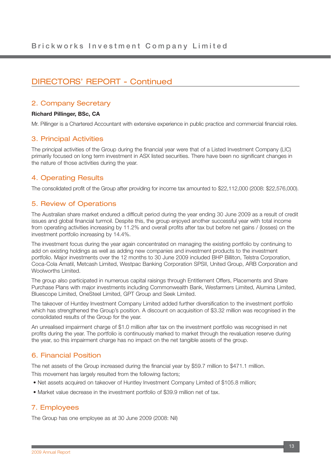### 2. Company Secretary

#### **Richard Pillinger, BSc, CA**

Mr. Pillinger is a Chartered Accountant with extensive experience in public practice and commercial financial roles.

### 3. Principal Activities

The principal activities of the Group during the financial year were that of a Listed Investment Company (LIC) primarily focused on long term investment in ASX listed securities. There have been no significant changes in the nature of those activities during the year.

### 4. Operating Results

The consolidated profit of the Group after providing for income tax amounted to \$22,112,000 (2008: \$22,576,000).

### 5. Review of Operations

The Australian share market endured a difficult period during the year ending 30 June 2009 as a result of credit issues and global financial turmoil. Despite this, the group enjoyed another successful year with total income from operating activities increasing by 11.2% and overall profits after tax but before net gains / (losses) on the investment portfolio increasing by 14.4%.

The investment focus during the year again concentrated on managing the existing portfolio by continuing to add on existing holdings as well as adding new companies and investment products to the investment portfolio. Major investments over the 12 months to 30 June 2009 included BHP Billiton, Telstra Corporation, Coca-Cola Amatil, Metcash Limited, Westpac Banking Corporation SPSII, United Group, ARB Corporation and Woolworths Limited.

The group also participated in numerous capital raisings through Entitlement Offers, Placements and Share Purchase Plans with major investments including Commonwealth Bank, Wesfarmers Limited, Alumina Limited, Bluescope Limited, OneSteel Limited, GPT Group and Seek Limited.

The takeover of Huntley Investment Company Limited added further diversification to the investment portfolio which has strengthened the Group's position. A discount on acquisition of \$3.32 million was recognised in the consolidated results of the Group for the year.

An unrealised impairment charge of \$1.0 million after tax on the investment portfolio was recognised in net profits during the year. The portfolio is continuously marked to market through the revaluation reserve during the year, so this impairment charge has no impact on the net tangible assets of the group.

## 6. Financial Position

The net assets of the Group increased during the financial year by \$59.7 million to \$471.1 million.

This movement has largely resulted from the following factors;

- Net assets acquired on takeover of Huntley Investment Company Limited of \$105.8 million;
- Market value decrease in the investment portfolio of \$39.9 million net of tax.

### 7. Employees

The Group has one employee as at 30 June 2009 (2008: Nil)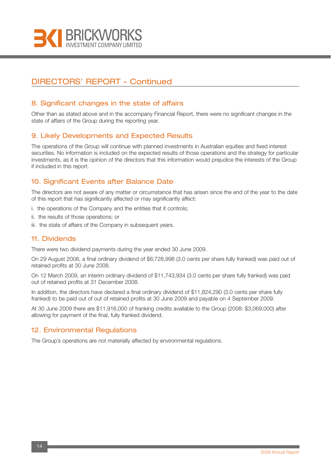

### 8. Significant changes in the state of affairs

Other than as stated above and in the accompany Financial Report, there were no significant changes in the state of affairs of the Group during the reporting year.

### 9. Likely Developments and Expected Results

The operations of the Group will continue with planned investments in Australian equities and fixed interest securities. No information is included on the expected results of those operations and the strategy for particular investments, as it is the opinion of the directors that this information would prejudice the interests of the Group if included in this report.

## 10. Significant Events after Balance Date

The directors are not aware of any matter or circumstance that has arisen since the end of the year to the date of this report that has significantly affected or may significantly affect:

- i. the operations of the Company and the entities that it controls;
- ii. the results of those operations; or
- iii. the state of affairs of the Company in subsequent years.

#### 11. Dividends

There were two dividend payments during the year ended 30 June 2009.

On 29 August 2008, a final ordinary dividend of \$8,728,998 (3.0 cents per share fully franked) was paid out of retained profits at 30 June 2008.

On 12 March 2009, an interim ordinary dividend of \$11,743,934 (3.0 cents per share fully franked) was paid out of retained profits at 31 December 2008.

In addition, the directors have declared a final ordinary dividend of \$11,824,290 (3.0 cents per share fully franked) to be paid out of out of retained profits at 30 June 2009 and payable on 4 September 2009.

At 30 June 2009 there are \$11,916,000 of franking credits available to the Group (2008: \$3,069,000) after allowing for payment of the final, fully franked dividend.

### 12. Environmental Regulations

The Group's operations are not materially affected by environmental regulations.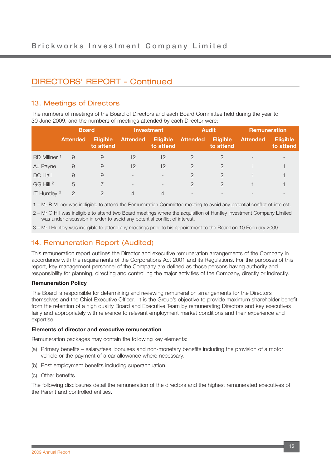## 13. Meetings of Directors

The numbers of meetings of the Board of Directors and each Board Committee held during the year to 30 June 2009, and the numbers of meetings attended by each Director were:

|                         | <b>Board</b>    |                              |                          | <b>Investment</b>            |                 | <b>Audit</b>                 |                 | <b>Remuneration</b>          |  |
|-------------------------|-----------------|------------------------------|--------------------------|------------------------------|-----------------|------------------------------|-----------------|------------------------------|--|
|                         | <b>Attended</b> | <b>Eligible</b><br>to attend | <b>Attended</b>          | <b>Eligible</b><br>to attend | <b>Attended</b> | <b>Eligible</b><br>to attend | <b>Attended</b> | <b>Eligible</b><br>to attend |  |
| RD Millner <sup>1</sup> | 9               | 9                            | 12                       | 12                           |                 |                              |                 |                              |  |
| AJ Payne                | 9               | 9                            | 12                       | 12                           | $\mathcal{P}$   | 2                            |                 |                              |  |
| DC Hall                 | 9               | 9                            | $\overline{\phantom{a}}$ | $\overline{\phantom{0}}$     | 2               | $\mathcal{P}$                |                 |                              |  |
| GG Hill <sup>2</sup>    | 5               |                              | $\overline{\phantom{a}}$ |                              | $\mathcal{P}$   | 2                            |                 |                              |  |
| IT Huntley <sup>3</sup> | $\Omega$        |                              | 4                        | 4                            |                 |                              |                 |                              |  |

1 – Mr R Millner was ineligible to attend the Remuneration Committee meeting to avoid any potential conflict of interest.

2 – Mr G Hill was ineligible to attend two Board meetings where the acquisition of Huntley Investment Company Limited was under discussion in order to avoid any potential conflict of interest.

3 – Mr I Huntley was ineligible to attend any meetings prior to his appointment to the Board on 10 February 2009.

### 14. Remuneration Report (Audited)

This remuneration report outlines the Director and executive remuneration arrangements of the Company in accordance with the requirements of the Corporations Act 2001 and its Regulations. For the purposes of this report, key management personnel of the Company are defined as those persons having authority and responsibility for planning, directing and controlling the major activities of the Company, directly or indirectly.

#### **Remuneration Policy**

The Board is responsible for determining and reviewing remuneration arrangements for the Directors themselves and the Chief Executive Officer. It is the Group's objective to provide maximum shareholder benefit from the retention of a high quality Board and Executive Team by remunerating Directors and key executives fairly and appropriately with reference to relevant employment market conditions and their experience and expertise.

#### **Elements of director and executive remuneration**

Remuneration packages may contain the following key elements:

- (a) Primary benefits salary/fees, bonuses and non-monetary benefits including the provision of a motor vehicle or the payment of a car allowance where necessary.
- (b) Post employment benefits including superannuation.
- (c) Other benefits

The following disclosures detail the remuneration of the directors and the highest remunerated executives of the Parent and controlled entities.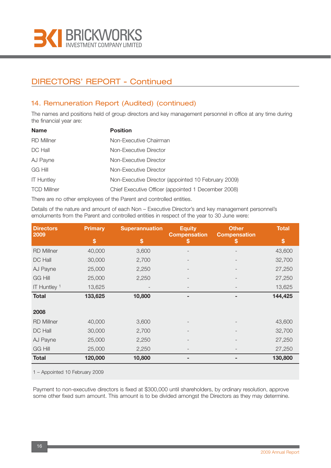

## 14. Remuneration Report (Audited) (continued)

The names and positions held of group directors and key management personnel in office at any time during the financial year are:

| <b>Name</b>        | <b>Position</b>                                     |
|--------------------|-----------------------------------------------------|
| RD Millner         | Non-Executive Chairman                              |
| DC Hall            | Non-Executive Director                              |
| AJ Payne           | Non-Executive Director                              |
| <b>GG Hill</b>     | Non-Executive Director                              |
| <b>IT Huntley</b>  | Non-Executive Director (appointed 10 February 2009) |
| <b>TCD Millner</b> | Chief Executive Officer (appointed 1 December 2008) |

There are no other employees of the Parent and controlled entities.

Details of the nature and amount of each Non – Executive Director's and key management personnel's emoluments from the Parent and controlled entities in respect of the year to 30 June were:

| <b>Directors</b><br>2009 | Primary | <b>Superannuation</b> | <b>Equity</b><br><b>Compensation</b> | <b>Other</b><br><b>Compensation</b> | <b>Total</b> |
|--------------------------|---------|-----------------------|--------------------------------------|-------------------------------------|--------------|
|                          | \$      | \$                    | ъ                                    | S                                   | \$           |
| <b>RD Millner</b>        | 40,000  | 3,600                 |                                      |                                     | 43,600       |
| DC Hall                  | 30,000  | 2,700                 |                                      |                                     | 32,700       |
| AJ Payne                 | 25,000  | 2,250                 |                                      |                                     | 27,250       |
| <b>GG Hill</b>           | 25,000  | 2,250                 |                                      |                                     | 27,250       |
| IT Huntley <sup>1</sup>  | 13,625  |                       |                                      |                                     | 13,625       |
| <b>Total</b>             | 133,625 | 10,800                |                                      |                                     | 144,425      |
|                          |         |                       |                                      |                                     |              |
| 2008                     |         |                       |                                      |                                     |              |
| <b>RD Millner</b>        | 40,000  | 3,600                 |                                      |                                     | 43,600       |
| DC Hall                  | 30,000  | 2,700                 |                                      |                                     | 32,700       |
| AJ Payne                 | 25,000  | 2,250                 |                                      |                                     | 27,250       |
| <b>GG Hill</b>           | 25,000  | 2,250                 |                                      |                                     | 27,250       |
| <b>Total</b>             | 120,000 | 10,800                |                                      |                                     | 130,800      |

1 – Appointed 10 February 2009

Payment to non-executive directors is fixed at \$300,000 until shareholders, by ordinary resolution, approve some other fixed sum amount. This amount is to be divided amongst the Directors as they may determine.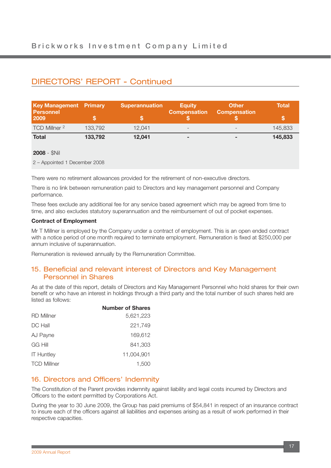| <b>Key Management Primary</b><br><b>Personnel</b><br>2009 |         | <b>Superannuation</b> | Equity<br><b>Compensation</b> | <b>/ Other</b><br><b>Compensation</b> | Total   |
|-----------------------------------------------------------|---------|-----------------------|-------------------------------|---------------------------------------|---------|
| TCD Millner 2                                             | 133.792 | 12.041                | $\overline{\phantom{0}}$      |                                       | 145,833 |
| <b>Total</b>                                              | 133,792 | 12,041                | $\sim$                        |                                       | 145,833 |

#### **2008** - \$Nil

2 – Appointed 1 December 2008

There were no retirement allowances provided for the retirement of non-executive directors.

There is no link between remuneration paid to Directors and key management personnel and Company performance.

These fees exclude any additional fee for any service based agreement which may be agreed from time to time, and also excludes statutory superannuation and the reimbursement of out of pocket expenses.

#### **Contract of Employment**

Mr T Millner is employed by the Company under a contract of employment. This is an open ended contract with a notice period of one month required to terminate employment. Remuneration is fixed at \$250,000 per annum inclusive of superannuation.

Remuneration is reviewed annually by the Remuneration Committee.

### 15. Beneficial and relevant interest of Directors and Key Management Personnel in Shares

As at the date of this report, details of Directors and Key Management Personnel who hold shares for their own benefit or who have an interest in holdings through a third party and the total number of such shares held are listed as follows:

|                    | <b>Number of Shares</b> |
|--------------------|-------------------------|
| <b>RD</b> Millner  | 5,621,223               |
| DC Hall            | 221,749                 |
| AJ Payne           | 169,612                 |
| GG Hill            | 841,303                 |
| <b>IT Huntley</b>  | 11.004.901              |
| <b>TCD Millner</b> | 1,500                   |

### 16. Directors and Officers' Indemnity

The Constitution of the Parent provides indemnity against liability and legal costs incurred by Directors and Officers to the extent permitted by Corporations Act.

During the year to 30 June 2009, the Group has paid premiums of \$54,841 in respect of an insurance contract to insure each of the officers against all liabilities and expenses arising as a result of work performed in their respective capacities.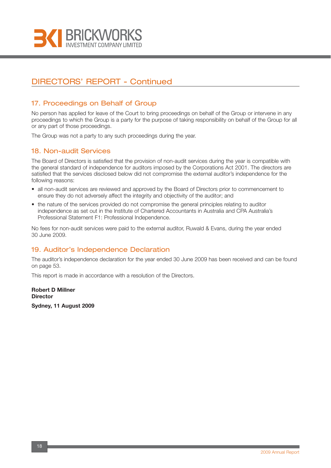

### 17. Proceedings on Behalf of Group

No person has applied for leave of the Court to bring proceedings on behalf of the Group or intervene in any proceedings to which the Group is a party for the purpose of taking responsibility on behalf of the Group for all or any part of those proceedings.

The Group was not a party to any such proceedings during the year.

### 18. Non-audit Services

The Board of Directors is satisfied that the provision of non-audit services during the year is compatible with the general standard of independence for auditors imposed by the Corporations Act 2001. The directors are satisfied that the services disclosed below did not compromise the external auditor's independence for the following reasons:

- all non-audit services are reviewed and approved by the Board of Directors prior to commencement to ensure they do not adversely affect the integrity and objectivity of the auditor; and
- the nature of the services provided do not compromise the general principles relating to auditor independence as set out in the Institute of Chartered Accountants in Australia and CPA Australia's Professional Statement F1: Professional Independence.

No fees for non-audit services were paid to the external auditor, Ruwald & Evans, during the year ended 30 June 2009.

### 19. Auditor's Independence Declaration

The auditor's independence declaration for the year ended 30 June 2009 has been received and can be found on page 53.

This report is made in accordance with a resolution of the Directors.

**Robert D Millner Director**

**Sydney, 11 August 2009**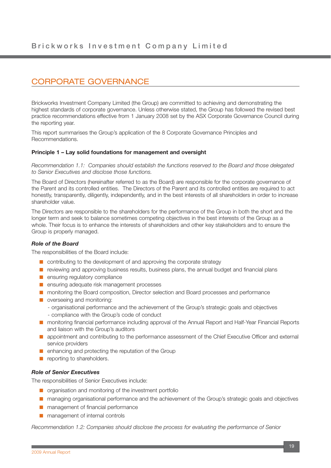## CORPORATE GOVERNANCE

Brickworks Investment Company Limited (the Group) are committed to achieving and demonstrating the highest standards of corporate governance. Unless otherwise stated, the Group has followed the revised best practice recommendations effective from 1 January 2008 set by the ASX Corporate Governance Council during the reporting year.

This report summarises the Group's application of the 8 Corporate Governance Principles and Recommendations.

#### **Principle 1 – Lay solid foundations for management and oversight**

*Recommendation 1.1: Companies should establish the functions reserved to the Board and those delegated to Senior Executives and disclose those functions.*

The Board of Directors (hereinafter referred to as the Board) are responsible for the corporate governance of the Parent and its controlled entities. The Directors of the Parent and its controlled entities are required to act honestly, transparently, diligently, independently, and in the best interests of all shareholders in order to increase shareholder value.

The Directors are responsible to the shareholders for the performance of the Group in both the short and the longer term and seek to balance sometimes competing objectives in the best interests of the Group as a whole. Their focus is to enhance the interests of shareholders and other key stakeholders and to ensure the Group is properly managed.

#### *Role of the Board*

The responsibilities of the Board include:

- contributing to the development of and approving the corporate strategy
- reviewing and approving business results, business plans, the annual budget and financial plans
- ensuring regulatory compliance
- ensuring adequate risk management processes
- monitoring the Board composition, Director selection and Board processes and performance
- overseeing and monitoring:
	- organisational performance and the achievement of the Group's strategic goals and objectives
	- compliance with the Group's code of conduct
- monitoring financial performance including approval of the Annual Report and Half-Year Financial Reports and liaison with the Group's auditors
- appointment and contributing to the performance assessment of the Chief Executive Officer and external service providers
- enhancing and protecting the reputation of the Group
- reporting to shareholders.

#### *Role of Senior Executives*

The responsibilities of Senior Executives include:

- organisation and monitoring of the investment portfolio
- managing organisational performance and the achievement of the Group's strategic goals and objectives
- management of financial performance
- management of internal controls

*Recommendation 1.2: Companies should disclose the process for evaluating the performance of Senior*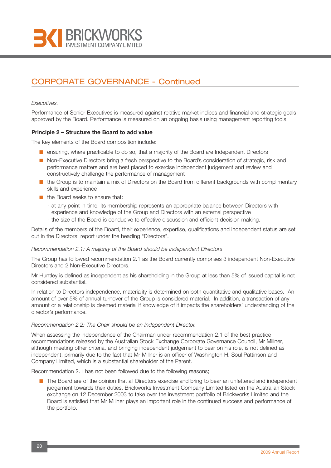

#### *Executives.*

Performance of Senior Executives is measured against relative market indices and financial and strategic goals approved by the Board. Performance is measured on an ongoing basis using management reporting tools.

#### **Principle 2 – Structure the Board to add value**

The key elements of the Board composition include:

- ensuring, where practicable to do so, that a majority of the Board are Independent Directors
- Non-Executive Directors bring a fresh perspective to the Board's consideration of strategic, risk and performance matters and are best placed to exercise independent judgement and review and constructively challenge the performance of management
- the Group is to maintain a mix of Directors on the Board from different backgrounds with complimentary skills and experience
- the Board seeks to ensure that:
	- at any point in time, its membership represents an appropriate balance between Directors with experience and knowledge of the Group and Directors with an external perspective
	- the size of the Board is conducive to effective discussion and efficient decision making.

Details of the members of the Board, their experience, expertise, qualifications and independent status are set out in the Directors' report under the heading "Directors".

#### *Recommendation 2.1: A majority of the Board should be Independent Directors*

The Group has followed recommendation 2.1 as the Board currently comprises 3 independent Non-Executive Directors and 2 Non-Executive Directors.

Mr Huntley is defined as independent as his shareholding in the Group at less than 5% of issued capital is not considered substantial.

In relation to Directors independence, materiality is determined on both quantitative and qualitative bases. An amount of over 5% of annual turnover of the Group is considered material. In addition, a transaction of any amount or a relationship is deemed material if knowledge of it impacts the shareholders' understanding of the director's performance.

#### *Recommendation 2.2: The Chair should be an Independent Director.*

When assessing the independence of the Chairman under recommendation 2.1 of the best practice recommendations released by the Australian Stock Exchange Corporate Governance Council, Mr Millner, although meeting other criteria, and bringing independent judgement to bear on his role, is not defined as independent, primarily due to the fact that Mr Millner is an officer of Washington H. Soul Pattinson and Company Limited, which is a substantial shareholder of the Parent.

Recommendation 2.1 has not been followed due to the following reasons;

■ The Board are of the opinion that all Directors exercise and bring to bear an unfettered and independent judgement towards their duties. Brickworks Investment Company Limited listed on the Australian Stock exchange on 12 December 2003 to take over the investment portfolio of Brickworks Limited and the Board is satisfied that Mr Millner plays an important role in the continued success and performance of the portfolio.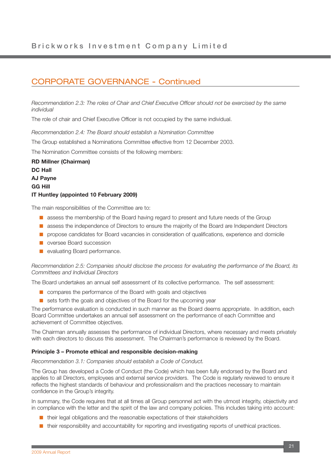*Recommendation 2.3: The roles of Chair and Chief Executive Officer should not be exercised by the same individual*

The role of chair and Chief Executive Officer is not occupied by the same individual.

*Recommendation 2.4: The Board should establish a Nomination Committee*

The Group established a Nominations Committee effective from 12 December 2003.

The Nomination Committee consists of the following members:

**RD Millner (Chairman) DC Hall AJ Payne GG Hill IT Huntley (appointed 10 February 2009)**

The main responsibilities of the Committee are to:

- assess the membership of the Board having regard to present and future needs of the Group
- assess the independence of Directors to ensure the majority of the Board are Independent Directors
- propose candidates for Board vacancies in consideration of qualifications, experience and domicile
- oversee Board succession
- evaluating Board performance.

#### *Recommendation 2.5: Companies should disclose the process for evaluating the performance of the Board, its Committees and Individual Directors*

The Board undertakes an annual self assessment of its collective performance. The self assessment:

- compares the performance of the Board with goals and objectives
- sets forth the goals and objectives of the Board for the upcoming year

The performance evaluation is conducted in such manner as the Board deems appropriate. In addition, each Board Committee undertakes an annual self assessment on the performance of each Committee and achievement of Committee objectives.

The Chairman annually assesses the performance of individual Directors, where necessary and meets privately with each directors to discuss this assessment. The Chairman's performance is reviewed by the Board.

#### **Principle 3 – Promote ethical and responsible decision-making**

*Recommendation 3.1: Companies should establish a Code of Conduct.*

The Group has developed a Code of Conduct (the Code) which has been fully endorsed by the Board and applies to all Directors, employees and external service providers. The Code is regularly reviewed to ensure it reflects the highest standards of behaviour and professionalism and the practices necessary to maintain confidence in the Group's integrity.

In summary, the Code requires that at all times all Group personnel act with the utmost integrity, objectivity and in compliance with the letter and the spirit of the law and company policies. This includes taking into account:

- their legal obligations and the reasonable expectations of their stakeholders
- their responsibility and accountability for reporting and investigating reports of unethical practices.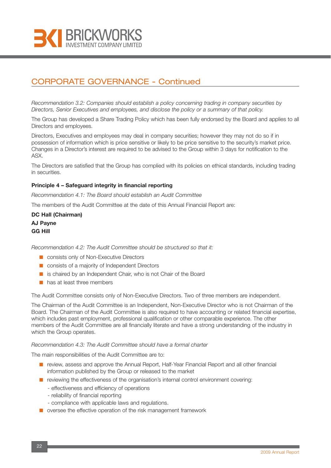

*Recommendation 3.2: Companies should establish a policy concerning trading in company securities by Directors, Senior Executives and employees, and disclose the policy or a summary of that policy.*

The Group has developed a Share Trading Policy which has been fully endorsed by the Board and applies to all Directors and employees.

Directors, Executives and employees may deal in company securities; however they may not do so if in possession of information which is price sensitive or likely to be price sensitive to the security's market price. Changes in a Director's interest are required to be advised to the Group within 3 days for notification to the ASX.

The Directors are satisfied that the Group has complied with its policies on ethical standards, including trading in securities.

#### **Principle 4 – Safeguard integrity in financial reporting**

*Recommendation 4.1: The Board should establish an Audit Committee*

The members of the Audit Committee at the date of this Annual Financial Report are:

**DC Hall (Chairman) AJ Payne GG Hill**

*Recommendation 4.2: The Audit Committee should be structured so that it:*

- consists only of Non-Executive Directors
- consists of a majority of Independent Directors
- is chaired by an Independent Chair, who is not Chair of the Board
- has at least three members

The Audit Committee consists only of Non-Executive Directors. Two of three members are independent.

The Chairman of the Audit Committee is an Independent, Non-Executive Director who is not Chairman of the Board. The Chairman of the Audit Committee is also required to have accounting or related financial expertise, which includes past employment, professional qualification or other comparable experience. The other members of the Audit Committee are all financially literate and have a strong understanding of the industry in which the Group operates.

#### *Recommendation 4.3: The Audit Committee should have a formal charter*

The main responsibilities of the Audit Committee are to:

- review, assess and approve the Annual Report, Half-Year Financial Report and all other financial information published by the Group or released to the market
- reviewing the effectiveness of the organisation's internal control environment covering:
	- effectiveness and efficiency of operations
	- reliability of financial reporting
	- compliance with applicable laws and regulations.
- oversee the effective operation of the risk management framework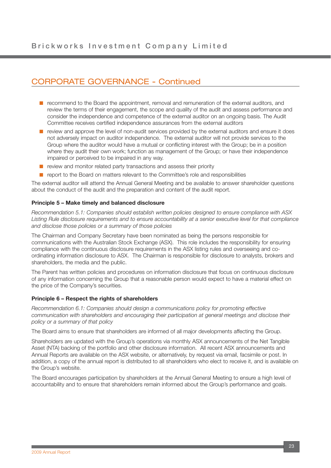- recommend to the Board the appointment, removal and remuneration of the external auditors, and review the terms of their engagement, the scope and quality of the audit and assess performance and consider the independence and competence of the external auditor on an ongoing basis. The Audit Committee receives certified independence assurances from the external auditors
- review and approve the level of non-audit services provided by the external auditors and ensure it does not adversely impact on auditor independence. The external auditor will not provide services to the Group where the auditor would have a mutual or conflicting interest with the Group; be in a position where they audit their own work; function as management of the Group; or have their independence impaired or perceived to be impaired in any way.
- review and monitor related party transactions and assess their priority
- report to the Board on matters relevant to the Committee's role and responsibilities

The external auditor will attend the Annual General Meeting and be available to answer shareholder questions about the conduct of the audit and the preparation and content of the audit report.

#### **Principle 5 – Make timely and balanced disclosure**

*Recommendation 5.1: Companies should establish written policies designed to ensure compliance with ASX Listing Rule disclosure requirements and to ensure accountability at a senior executive level for that compliance and disclose those policies or a summary of those policies*

The Chairman and Company Secretary have been nominated as being the persons responsible for communications with the Australian Stock Exchange (ASX). This role includes the responsibility for ensuring compliance with the continuous disclosure requirements in the ASX listing rules and overseeing and coordinating information disclosure to ASX. The Chairman is responsible for disclosure to analysts, brokers and shareholders, the media and the public.

The Parent has written policies and procedures on information disclosure that focus on continuous disclosure of any information concerning the Group that a reasonable person would expect to have a material effect on the price of the Company's securities.

#### **Principle 6 – Respect the rights of shareholders**

*Recommendation 6.1: Companies should design a communications policy for promoting effective communication with shareholders and encouraging their participation at general meetings and disclose their policy or a summary of that policy*

The Board aims to ensure that shareholders are informed of all major developments affecting the Group.

Shareholders are updated with the Group's operations via monthly ASX announcements of the Net Tangible Asset (NTA) backing of the portfolio and other disclosure information. All recent ASX announcements and Annual Reports are available on the ASX website, or alternatively, by request via email, facsimile or post. In addition, a copy of the annual report is distributed to all shareholders who elect to receive it, and is available on the Group's website.

The Board encourages participation by shareholders at the Annual General Meeting to ensure a high level of accountability and to ensure that shareholders remain informed about the Group's performance and goals.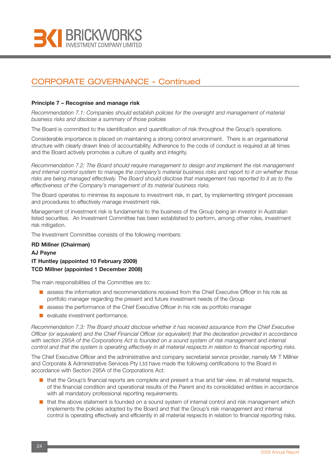

#### **Principle 7 – Recognise and manage risk**

*Recommendation 7.1: Companies should establish policies for the oversight and management of material business risks and disclose a summary of those policies*

The Board is committed to the identification and quantification of risk throughout the Group's operations.

Considerable importance is placed on maintaining a strong control environment. There is an organisational structure with clearly drawn lines of accountability. Adherence to the code of conduct is required at all times and the Board actively promotes a culture of quality and integrity.

*Recommendation 7.2: The Board should require management to design and implement the risk management and internal control system to manage the company's material business risks and report to it on whether those risks are being managed effectively. The Board should disclose that management has reported to it as to the effectiveness of the Company's management of its material business risks.*

The Board operates to minimise its exposure to investment risk, in part, by implementing stringent processes and procedures to effectively manage investment risk.

Management of investment risk is fundamental to the business of the Group being an investor in Australian listed securities. An Investment Committee has been established to perform, among other roles, investment risk mitigation.

The Investment Committee consists of the following members:

### **RD Millner (Chairman) AJ Payne IT Huntley (appointed 10 February 2009) TCD Millner (appointed 1 December 2008)**

The main responsibilities of the Committee are to:

- assess the information and recommendations received from the Chief Executive Officer in his role as portfolio manager regarding the present and future investment needs of the Group
- assess the performance of the Chief Executive Officer in his role as portfolio manager
- evaluate investment performance.

*Recommendation 7.3: The Board should disclose whether it has received assurance from the Chief Executive Officer (or equivalent) and the Chief Financial Officer (or equivalent) that the declaration provided in accordance with section 295A of the Corporations Act is founded on a sound system of risk management and internal control and that the system is operating effectively in all material respects in relation to financial reporting risks.*

The Chief Executive Officer and the administrative and company secretarial service provider, namely Mr T Millner and Corporate & Administrative Services Pty Ltd have made the following certifications to the Board in accordance with Section 295A of the Corporations Act:

- that the Group's financial reports are complete and present a true and fair view, in all material respects, of the financial condition and operational results of the Parent and its consolidated entities in accordance with all mandatory professional reporting requirements.
- that the above statement is founded on a sound system of internal control and risk management which implements the policies adopted by the Board and that the Group's risk management and internal control is operating effectively and efficiently in all material respects in relation to financial reporting risks.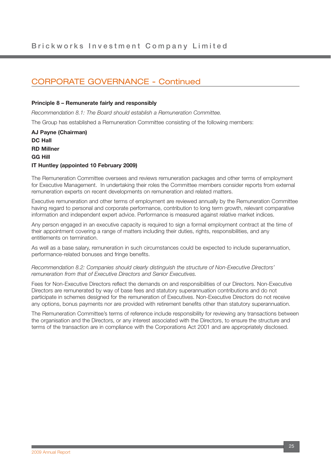#### **Principle 8 – Remunerate fairly and responsibly**

*Recommendation 8.1: The Board should establish a Remuneration Committee.*

The Group has established a Remuneration Committee consisting of the following members:

**AJ Payne (Chairman) DC Hall RD Millner GG Hill IT Huntley (appointed 10 February 2009)**

The Remuneration Committee oversees and reviews remuneration packages and other terms of employment for Executive Management. In undertaking their roles the Committee members consider reports from external remuneration experts on recent developments on remuneration and related matters.

Executive remuneration and other terms of employment are reviewed annually by the Remuneration Committee having regard to personal and corporate performance, contribution to long term growth, relevant comparative information and independent expert advice. Performance is measured against relative market indices.

Any person engaged in an executive capacity is required to sign a formal employment contract at the time of their appointment covering a range of matters including their duties, rights, responsibilities, and any entitlements on termination.

As well as a base salary, remuneration in such circumstances could be expected to include superannuation, performance-related bonuses and fringe benefits.

*Recommendation 8.2: Companies should clearly distinguish the structure of Non-Executive Directors' remuneration from that of Executive Directors and Senior Executives.*

Fees for Non-Executive Directors reflect the demands on and responsibilities of our Directors. Non-Executive Directors are remunerated by way of base fees and statutory superannuation contributions and do not participate in schemes designed for the remuneration of Executives. Non-Executive Directors do not receive any options, bonus payments nor are provided with retirement benefits other than statutory superannuation.

The Remuneration Committee's terms of reference include responsibility for reviewing any transactions between the organisation and the Directors, or any interest associated with the Directors, to ensure the structure and terms of the transaction are in compliance with the Corporations Act 2001 and are appropriately disclosed.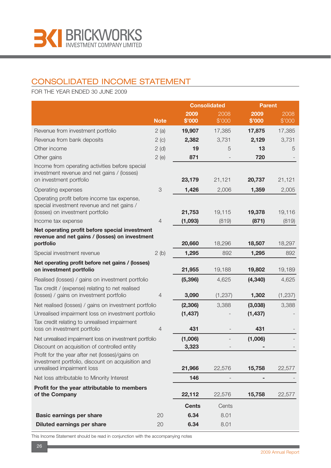

## CONSOLIDATED INCOME STATEMENT

FOR THE YEAR ENDED 30 JUNE 2009

|                                                                                                                                    |                |              | <b>Consolidated</b> | <b>Parent</b> |          |
|------------------------------------------------------------------------------------------------------------------------------------|----------------|--------------|---------------------|---------------|----------|
|                                                                                                                                    |                | 2009         | 2008                | 2009          | 2008     |
|                                                                                                                                    | <b>Note</b>    | \$'000       | \$'000              | \$'000        | \$'000   |
| Revenue from investment portfolio                                                                                                  | 2(a)           | 19,907       | 17,385              | 17,875        | 17,385   |
| Revenue from bank deposits                                                                                                         | 2(c)           | 2,382        | 3,731               | 2,129         | 3,731    |
| Other income                                                                                                                       | 2(d)           | 19           | 5                   | 13            | 5        |
| Other gains                                                                                                                        | 2(e)           | 871          |                     | 720           |          |
| Income from operating activities before special<br>investment revenue and net gains / (losses)<br>on investment portfolio          |                | 23,179       | 21,121              | 20,737        | 21,121   |
|                                                                                                                                    |                |              |                     |               |          |
| Operating expenses                                                                                                                 | 3              | 1,426        | 2,006               | 1,359         | 2,005    |
| Operating profit before income tax expense,<br>special investment revenue and net gains /                                          |                |              |                     |               |          |
| (losses) on investment portfolio                                                                                                   |                | 21,753       | 19,115              | 19,378        | 19,116   |
| Income tax expense                                                                                                                 | $\overline{4}$ | (1,093)      | (819)               | (871)         | (819)    |
| Net operating profit before special investment                                                                                     |                |              |                     |               |          |
| revenue and net gains / (losses) on investment                                                                                     |                |              |                     |               |          |
| portfolio                                                                                                                          |                | 20,660       | 18,296              | 18,507        | 18,297   |
| Special investment revenue                                                                                                         | 2(b)           | 1,295        | 892                 | 1,295         | 892      |
| Net operating profit before net gains / (losses)<br>on investment portfolio                                                        |                | 21,955       | 19,188              | 19,802        | 19,189   |
| Realised (losses) / gains on investment portfolio                                                                                  |                | (5, 396)     | 4,625               | (4, 340)      | 4,625    |
| Tax credit / (expense) relating to net realised<br>(losses) / gains on investment portfolio                                        | 4              | 3,090        | (1, 237)            | 1,302         | (1, 237) |
| Net realised (losses) / gains on investment portfolio                                                                              |                | (2,306)      | 3,388               | (3,038)       | 3,388    |
| Unrealised impairment loss on investment portfolio                                                                                 |                | (1, 437)     |                     | (1, 437)      |          |
| Tax credit relating to unrealised impairment                                                                                       |                |              |                     |               |          |
| loss on investment portfolio                                                                                                       | $\overline{4}$ | 431          |                     | 431           |          |
| Net unrealised impairment loss on investment portfolio                                                                             |                | (1,006)      |                     | (1,006)       |          |
| Discount on acquisition of controlled entity                                                                                       |                | 3,323        |                     |               |          |
| Profit for the year after net (losses)/gains on<br>investment portfolio, discount on acquisition and<br>unrealised impairment loss |                | 21,966       | 22,576              | 15,758        | 22,577   |
|                                                                                                                                    |                | 146          |                     |               |          |
| Net loss attributable to Minority Interest                                                                                         |                |              |                     | -             |          |
| Profit for the year attributable to members<br>of the Company                                                                      |                | 22,112       | 22,576              | 15,758        | 22,577   |
|                                                                                                                                    |                | <b>Cents</b> | Cents               |               |          |
| <b>Basic earnings per share</b>                                                                                                    | 20             | 6.34         | 8.01                |               |          |
| <b>Diluted earnings per share</b>                                                                                                  | 20             | 6.34         | 8.01                |               |          |

This Income Statement should be read in conjunction with the accompanying notes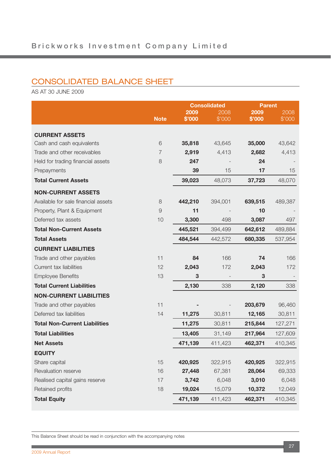## CONSOLIDATED BALANCE SHEET

AS AT 30 JUNE 2009

|                                      |                |                | <b>Consolidated</b><br><b>Parent</b> |                |                |  |
|--------------------------------------|----------------|----------------|--------------------------------------|----------------|----------------|--|
|                                      | <b>Note</b>    | 2009<br>\$'000 | 2008<br>\$'000                       | 2009<br>\$'000 | 2008<br>\$'000 |  |
|                                      |                |                |                                      |                |                |  |
| <b>CURRENT ASSETS</b>                |                |                |                                      |                |                |  |
| Cash and cash equivalents            | 6              | 35,818         | 43,645                               | 35,000         | 43,642         |  |
| Trade and other receivables          | $\overline{7}$ | 2,919          | 4,413                                | 2,682          | 4,413          |  |
| Held for trading financial assets    | $\,8\,$        | 247            |                                      | 24             |                |  |
| Prepayments                          |                | 39             | 15                                   | 17             | 15             |  |
| <b>Total Current Assets</b>          |                | 39,023         | 48,073                               | 37,723         | 48,070         |  |
| <b>NON-CURRENT ASSETS</b>            |                |                |                                      |                |                |  |
| Available for sale financial assets  | 8              | 442,210        | 394,001                              | 639,515        | 489,387        |  |
| Property, Plant & Equipment          | $\Theta$       | 11             |                                      | 10             |                |  |
| Deferred tax assets                  | 10             | 3,300          | 498                                  | 3,087          | 497            |  |
| <b>Total Non-Current Assets</b>      |                | 445,521        | 394,499                              | 642,612        | 489,884        |  |
| <b>Total Assets</b>                  |                | 484,544        | 442,572                              | 680,335        | 537,954        |  |
| <b>CURRENT LIABILITIES</b>           |                |                |                                      |                |                |  |
| Trade and other payables             | 11             | 84             | 166                                  | 74             | 166            |  |
| Current tax liabilities              | 12             | 2,043          | 172                                  | 2,043          | 172            |  |
| <b>Employee Benefits</b>             | 13             | 3              |                                      | 3              |                |  |
| <b>Total Current Liabilities</b>     |                | 2,130          | 338                                  | 2,120          | 338            |  |
| <b>NON-CURRENT LIABILITIES</b>       |                |                |                                      |                |                |  |
| Trade and other payables             | 11             |                |                                      | 203,679        | 96,460         |  |
| Deferred tax liabilities             | 14             | 11,275         | 30,811                               | 12,165         | 30,811         |  |
| <b>Total Non-Current Liabilities</b> |                | 11,275         | 30,811                               | 215,844        | 127,271        |  |
| <b>Total Liabilities</b>             |                | 13,405         | 31,149                               | 217,964        | 127,609        |  |
| <b>Net Assets</b>                    |                | 471,139        | 411,423                              | 462,371        | 410,345        |  |
| <b>EQUITY</b>                        |                |                |                                      |                |                |  |
| Share capital                        | 15             | 420,925        | 322,915                              | 420,925        | 322,915        |  |
| Revaluation reserve                  | 16             | 27,448         | 67,381                               | 28,064         | 69,333         |  |
| Realised capital gains reserve       | 17             | 3,742          | 6,048                                | 3,010          | 6,048          |  |
| Retained profits                     | 18             | 19,024         | 15,079                               | 10,372         | 12,049         |  |
| <b>Total Equity</b>                  |                | 471,139        | 411,423                              | 462,371        | 410,345        |  |

This Balance Sheet should be read in conjunction with the accompanying notes

**COL**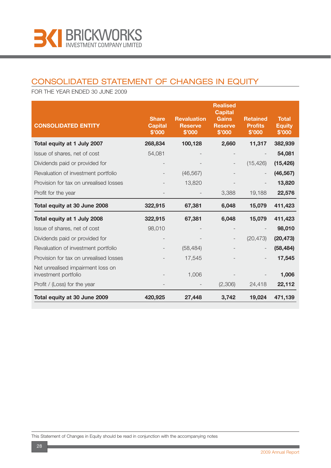

## CONSOLIDATED STATEMENT OF CHANGES IN EQUITY

FOR THE YEAR ENDED 30 JUNE 2009

| <b>CONSOLIDATED ENTITY</b>                                | <b>Share</b><br><b>Capital</b><br>\$'000 | <b>Revaluation</b><br><b>Reserve</b><br>\$'000 | <b>Realised</b><br><b>Capital</b><br><b>Gains</b><br><b>Reserve</b><br>\$'000 | <b>Retained</b><br><b>Profits</b><br>\$'000 | <b>Total</b><br><b>Equity</b><br>\$'000 |
|-----------------------------------------------------------|------------------------------------------|------------------------------------------------|-------------------------------------------------------------------------------|---------------------------------------------|-----------------------------------------|
| Total equity at 1 July 2007                               | 268,834                                  | 100,128                                        | 2,660                                                                         | 11,317                                      | 382,939                                 |
| Issue of shares, net of cost                              | 54,081                                   |                                                |                                                                               |                                             | 54,081                                  |
| Dividends paid or provided for                            |                                          |                                                | $\overline{\phantom{a}}$                                                      | (15, 426)                                   | (15, 426)                               |
| Revaluation of investment portfolio                       |                                          | (46, 567)                                      |                                                                               |                                             | (46, 567)                               |
| Provision for tax on unrealised losses                    |                                          | 13,820                                         |                                                                               |                                             | 13,820                                  |
| Profit for the year                                       |                                          |                                                | 3,388                                                                         | 19,188                                      | 22,576                                  |
| Total equity at 30 June 2008                              | 322,915                                  | 67,381                                         | 6,048                                                                         | 15,079                                      | 411,423                                 |
| Total equity at 1 July 2008                               | 322,915                                  | 67,381                                         | 6,048                                                                         | 15,079                                      | 411,423                                 |
| Issue of shares, net of cost                              | 98,010                                   |                                                |                                                                               |                                             | 98,010                                  |
| Dividends paid or provided for                            |                                          |                                                |                                                                               | (20, 473)                                   | (20, 473)                               |
| Revaluation of investment portfolio                       |                                          | (58, 484)                                      |                                                                               |                                             | (58, 484)                               |
| Provision for tax on unrealised losses                    |                                          | 17,545                                         |                                                                               |                                             | 17,545                                  |
| Net unrealised impairment loss on<br>investment portfolio |                                          | 1,006                                          |                                                                               |                                             | 1,006                                   |
| Profit / (Loss) for the year                              |                                          |                                                | (2,306)                                                                       | 24,418                                      | 22,112                                  |
| Total equity at 30 June 2009                              | 420,925                                  | 27,448                                         | 3,742                                                                         | 19,024                                      | 471,139                                 |

This Statement of Changes in Equity should be read in conjunction with the accompanying notes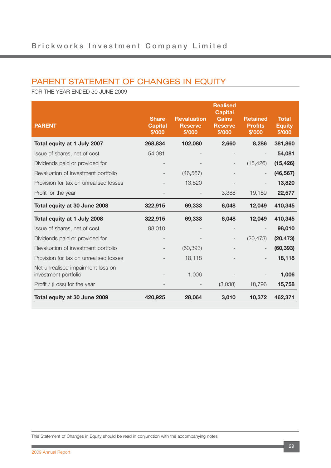## PARENT STATEMENT OF CHANGES IN EQUITY

FOR THE YEAR ENDED 30 JUNE 2009

| <b>PARENT</b>                                             | <b>Share</b><br><b>Capital</b><br>\$'000 | <b>Revaluation</b><br><b>Reserve</b><br>\$'000 | <b>Realised</b><br><b>Capital</b><br><b>Gains</b><br><b>Reserve</b><br>\$'000 | <b>Retained</b><br><b>Profits</b><br>\$'000 | <b>Total</b><br><b>Equity</b><br>\$'000 |
|-----------------------------------------------------------|------------------------------------------|------------------------------------------------|-------------------------------------------------------------------------------|---------------------------------------------|-----------------------------------------|
| Total equity at 1 July 2007                               | 268,834                                  | 102,080                                        | 2,660                                                                         | 8,286                                       | 381,860                                 |
| Issue of shares, net of cost                              | 54,081                                   |                                                |                                                                               |                                             | 54,081                                  |
| Dividends paid or provided for                            |                                          |                                                |                                                                               | (15, 426)                                   | (15, 426)                               |
| Revaluation of investment portfolio                       |                                          | (46, 567)                                      |                                                                               |                                             | (46, 567)                               |
| Provision for tax on unrealised losses                    |                                          | 13,820                                         |                                                                               |                                             | 13,820                                  |
| Profit for the year                                       |                                          |                                                | 3,388                                                                         | 19,189                                      | 22,577                                  |
| Total equity at 30 June 2008                              | 322,915                                  | 69,333                                         | 6,048                                                                         | 12,049                                      | 410,345                                 |
| Total equity at 1 July 2008                               | 322,915                                  | 69,333                                         | 6,048                                                                         | 12,049                                      | 410,345                                 |
| Issue of shares, net of cost                              | 98,010                                   |                                                |                                                                               |                                             | 98,010                                  |
| Dividends paid or provided for                            |                                          |                                                |                                                                               | (20, 473)                                   | (20, 473)                               |
| Revaluation of investment portfolio                       |                                          | (60, 393)                                      |                                                                               |                                             | (60, 393)                               |
| Provision for tax on unrealised losses                    |                                          | 18,118                                         |                                                                               |                                             | 18,118                                  |
| Net unrealised impairment loss on<br>investment portfolio |                                          | 1,006                                          |                                                                               |                                             | 1,006                                   |
| Profit / (Loss) for the year                              |                                          |                                                | (3,038)                                                                       | 18,796                                      | 15,758                                  |
| Total equity at 30 June 2009                              | 420,925                                  | 28,064                                         | 3,010                                                                         | 10,372                                      | 462,371                                 |

This Statement of Changes in Equity should be read in conjunction with the accompanying notes

п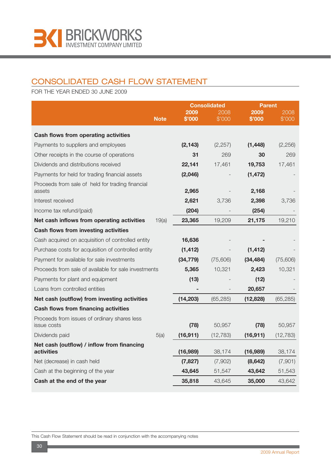

## CONSOLIDATED CASH FLOW STATEMENT

FOR THE YEAR ENDED 30 JUNE 2009

|                                                          |             |                | <b>Consolidated</b><br><b>Parent</b> |                |                |  |
|----------------------------------------------------------|-------------|----------------|--------------------------------------|----------------|----------------|--|
|                                                          | <b>Note</b> | 2009<br>\$'000 | 2008<br>\$'000                       | 2009<br>\$'000 | 2008<br>\$'000 |  |
|                                                          |             |                |                                      |                |                |  |
| Cash flows from operating activities                     |             |                |                                      |                |                |  |
| Payments to suppliers and employees                      |             | (2, 143)       | (2, 257)                             | (1, 448)       | (2, 256)       |  |
| Other receipts in the course of operations               |             | 31             | 269                                  | 30             | 269            |  |
| Dividends and distributions received                     |             | 22,141         | 17,461                               | 19,753         | 17,461         |  |
| Payments for held for trading financial assets           |             | (2,046)        |                                      | (1, 472)       |                |  |
| Proceeds from sale of held for trading financial         |             |                |                                      |                |                |  |
| assets                                                   |             | 2,965          |                                      | 2,168          |                |  |
| Interest received                                        |             | 2,621          | 3,736                                | 2,398          | 3,736          |  |
| Income tax refund/(paid)                                 |             | (204)          |                                      | (254)          |                |  |
| Net cash inflows from operating activities               | 19(a)       | 23,365         | 19,209                               | 21,175         | 19,210         |  |
| <b>Cash flows from investing activities</b>              |             |                |                                      |                |                |  |
| Cash acquired on acquisition of controlled entity        |             | 16,636         |                                      |                |                |  |
| Purchase costs for acquisition of controlled entity      |             | (1, 412)       |                                      | (1, 412)       |                |  |
| Payment for available for sale investments               |             | (34, 779)      | (75,606)                             | (34, 484)      | (75,606)       |  |
| Proceeds from sale of available for sale investments     |             | 5,365          | 10,321                               | 2,423          | 10,321         |  |
| Payments for plant and equipment                         |             | (13)           |                                      | (12)           |                |  |
| Loans from controlled entities                           |             |                |                                      | 20,657         |                |  |
| Net cash (outflow) from investing activities             |             | (14, 203)      | (65, 285)                            | (12, 828)      | (65, 285)      |  |
| <b>Cash flows from financing activities</b>              |             |                |                                      |                |                |  |
| Proceeds from issues of ordinary shares less             |             |                |                                      |                |                |  |
| issue costs                                              |             | (78)           | 50,957                               | (78)           | 50,957         |  |
| Dividends paid                                           | 5(a)        | (16, 911)      | (12, 783)                            | (16, 911)      | (12, 783)      |  |
| Net cash (outflow) / inflow from financing<br>activities |             | (16,989)       | 38,174                               | (16,989)       | 38,174         |  |
| Net (decrease) in cash held                              |             | (7, 827)       | (7,902)                              | (8,642)        | (7,901)        |  |
| Cash at the beginning of the year                        |             | 43,645         | 51,547                               | 43,642         | 51,543         |  |
| Cash at the end of the year                              |             | 35,818         | 43,645                               | 35,000         | 43,642         |  |

This Cash Flow Statement should be read in conjunction with the accompanying notes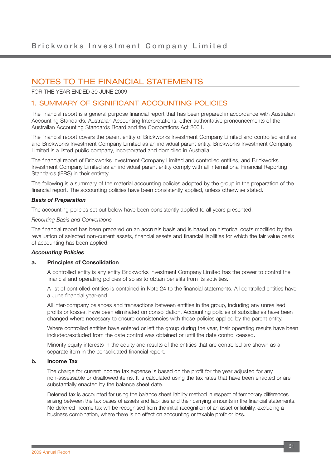FOR THE YEAR ENDED 30 JUNE 2009

### 1. SUMMARY OF SIGNIFICANT ACCOUNTING POLICIES

The financial report is a general purpose financial report that has been prepared in accordance with Australian Accounting Standards, Australian Accounting Interpretations, other authoritative pronouncements of the Australian Accounting Standards Board and the Corporations Act 2001.

The financial report covers the parent entity of Brickworks Investment Company Limited and controlled entities, and Brickworks Investment Company Limited as an individual parent entity. Brickworks Investment Company Limited is a listed public company, incorporated and domiciled in Australia.

The financial report of Brickworks Investment Company Limited and controlled entities, and Brickworks Investment Company Limited as an individual parent entity comply with all International Financial Reporting Standards (IFRS) in their entirety.

The following is a summary of the material accounting policies adopted by the group in the preparation of the financial report. The accounting policies have been consistently applied, unless otherwise stated.

#### *Basis of Preparation*

The accounting policies set out below have been consistently applied to all years presented.

#### *Reporting Basis and Conventions*

The financial report has been prepared on an accruals basis and is based on historical costs modified by the revaluation of selected non-current assets, financial assets and financial liabilities for which the fair value basis of accounting has been applied.

#### *Accounting Policies*

#### **a. Principles of Consolidation**

A controlled entity is any entity Brickworks Investment Company Limited has the power to control the financial and operating policies of so as to obtain benefits from its activities.

A list of controlled entities is contained in Note 24 to the financial statements. All controlled entities have a June financial year-end.

All inter-company balances and transactions between entities in the group, including any unrealised profits or losses, have been eliminated on consolidation. Accounting policies of subsidiaries have been changed where necessary to ensure consistencies with those policies applied by the parent entity.

Where controlled entities have entered or left the group during the year, their operating results have been included/excluded from the date control was obtained or until the date control ceased.

Minority equity interests in the equity and results of the entities that are controlled are shown as a separate item in the consolidated financial report.

### **b. Income Tax**

The charge for current income tax expense is based on the profit for the year adjusted for any non-assessable or disallowed items. It is calculated using the tax rates that have been enacted or are substantially enacted by the balance sheet date.

Deferred tax is accounted for using the balance sheet liability method in respect of temporary differences arising between the tax bases of assets and liabilities and their carrying amounts in the financial statements. No deferred income tax will be recognised from the initial recognition of an asset or liability, excluding a business combination, where there is no effect on accounting or taxable profit or loss.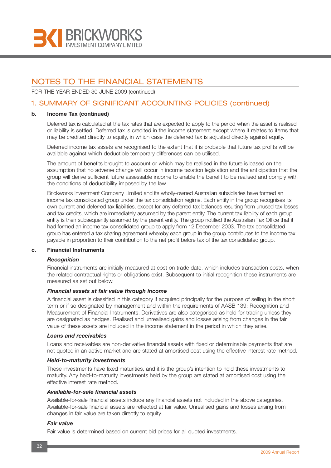

FOR THE YEAR ENDED 30 JUNE 2009 (continued)

### 1. SUMMARY OF SIGNIFICANT ACCOUNTING POLICIES (continued)

#### **b. Income Tax (continued)**

Deferred tax is calculated at the tax rates that are expected to apply to the period when the asset is realised or liability is settled. Deferred tax is credited in the income statement except where it relates to items that may be credited directly to equity, in which case the deferred tax is adjusted directly against equity.

Deferred income tax assets are recognised to the extent that it is probable that future tax profits will be available against which deductible temporary differences can be utilised.

The amount of benefits brought to account or which may be realised in the future is based on the assumption that no adverse change will occur in income taxation legislation and the anticipation that the group will derive sufficient future assessable income to enable the benefit to be realised and comply with the conditions of deductibility imposed by the law.

Brickworks Investment Company Limited and its wholly-owned Australian subsidiaries have formed an income tax consolidated group under the tax consolidation regime. Each entity in the group recognises its own current and deferred tax liabilities, except for any deferred tax balances resulting from unused tax losses and tax credits, which are immediately assumed by the parent entity. The current tax liability of each group entity is then subsequently assumed by the parent entity. The group notified the Australian Tax Office that it had formed an income tax consolidated group to apply from 12 December 2003. The tax consolidated group has entered a tax sharing agreement whereby each group in the group contributes to the income tax payable in proportion to their contribution to the net profit before tax of the tax consolidated group.

#### **c. Financial Instruments**

#### *Recognition*

Financial instruments are initially measured at cost on trade date, which includes transaction costs, when the related contractual rights or obligations exist. Subsequent to initial recognition these instruments are measured as set out below.

#### *Financial assets at fair value through income*

A financial asset is classified in this category if acquired principally for the purpose of selling in the short term or if so designated by management and within the requirements of AASB 139: Recognition and Measurement of Financial Instruments. Derivatives are also categorised as held for trading unless they are designated as hedges. Realised and unrealised gains and losses arising from changes in the fair value of these assets are included in the income statement in the period in which they arise.

#### *Loans and receivables*

Loans and receivables are non-derivative financial assets with fixed or determinable payments that are not quoted in an active market and are stated at amortised cost using the effective interest rate method.

#### *Held-to-maturity investments*

These investments have fixed maturities, and it is the group's intention to hold these investments to maturity. Any held-to-maturity investments held by the group are stated at amortised cost using the effective interest rate method.

#### *Available-for-sale financial assets*

Available-for-sale financial assets include any financial assets not included in the above categories. Available-for-sale financial assets are reflected at fair value. Unrealised gains and losses arising from changes in fair value are taken directly to equity.

#### *Fair value*

Fair value is determined based on current bid prices for all quoted investments.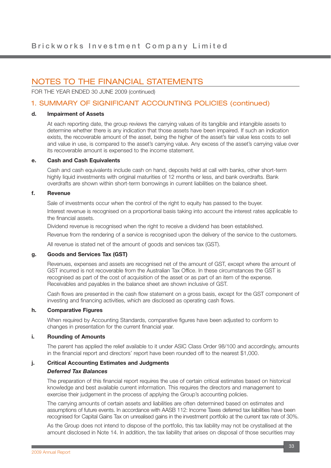FOR THE YEAR ENDED 30 JUNE 2009 (continued)

### 1. SUMMARY OF SIGNIFICANT ACCOUNTING POLICIES (continued)

#### **d. Impairment of Assets**

At each reporting date, the group reviews the carrying values of its tangible and intangible assets to determine whether there is any indication that those assets have been impaired. If such an indication exists, the recoverable amount of the asset, being the higher of the asset's fair value less costs to sell and value in use, is compared to the asset's carrying value. Any excess of the asset's carrying value over its recoverable amount is expensed to the income statement.

#### **e. Cash and Cash Equivalents**

Cash and cash equivalents include cash on hand, deposits held at call with banks, other short-term highly liquid investments with original maturities of 12 months or less, and bank overdrafts. Bank overdrafts are shown within short-term borrowings in current liabilities on the balance sheet.

#### **f. Revenue**

Sale of investments occur when the control of the right to equity has passed to the buyer. Interest revenue is recognised on a proportional basis taking into account the interest rates applicable to the financial assets.

Dividend revenue is recognised when the right to receive a dividend has been established.

Revenue from the rendering of a service is recognised upon the delivery of the service to the customers.

All revenue is stated net of the amount of goods and services tax (GST).

#### **g. Goods and Services Tax (GST)**

Revenues, expenses and assets are recognised net of the amount of GST, except where the amount of GST incurred is not recoverable from the Australian Tax Office. In these circumstances the GST is recognised as part of the cost of acquisition of the asset or as part of an item of the expense. Receivables and payables in the balance sheet are shown inclusive of GST.

Cash flows are presented in the cash flow statement on a gross basis, except for the GST component of investing and financing activities, which are disclosed as operating cash flows.

#### **h. Comparative Figures**

When required by Accounting Standards, comparative figures have been adjusted to conform to changes in presentation for the current financial year.

#### **i. Rounding of Amounts**

The parent has applied the relief available to it under ASIC Class Order 98/100 and accordingly, amounts in the financial report and directors' report have been rounded off to the nearest \$1,000.

### **j. Critical Accounting Estimates and Judgments** *Deferred Tax Balances*

The preparation of this financial report requires the use of certain critical estimates based on historical knowledge and best available current information. This requires the directors and management to exercise their judgement in the process of applying the Group's accounting policies.

The carrying amounts of certain assets and liabilities are often determined based on estimates and assumptions of future events. In accordance with AASB 112: Income Taxes deferred tax liabilities have been recognised for Capital Gains Tax on unrealised gains in the investment portfolio at the current tax rate of 30%.

As the Group does not intend to dispose of the portfolio, this tax liability may not be crystallised at the amount disclosed in Note 14. In addition, the tax liability that arises on disposal of those securities may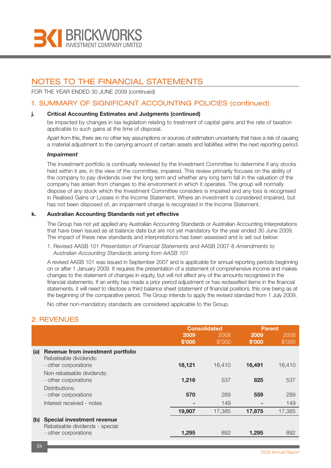

FOR THE YEAR ENDED 30 JUNE 2009 (continued)

### 1. SUMMARY OF SIGNIFICANT ACCOUNTING POLICIES (continued)

#### **j. Critical Accounting Estimates and Judgments (continued)**

be impacted by changes in tax legislation relating to treatment of capital gains and the rate of taxation applicable to such gains at the time of disposal.

Apart from this, there are no other key assumptions or sources of estimation uncertainty that have a risk of causing a material adjustment to the carrying amount of certain assets and liabilities within the next reporting period.

#### *Impairment*

The investment portfolio is continually reviewed by the Investment Committee to determine if any stocks held within it are, in the view of the committee, impaired. This review primarily focuses on the ability of the company to pay dividends over the long term and whether any long term fall in the valuation of the company has arisen from changes to the environment in which it operates. The group will normally dispose of any stock which the Investment Committee considers is impaired and any loss is recognised in Realised Gains or Losses in the Income Statement. Where an investment is considered impaired, but has not been disposed of, an impairment charge is recognised in the Income Statement.

#### **k. Australian Accounting Standards not yet effective**

The Group has not yet applied any Australian Accounting Standards or Australian Accounting Interpretations that have been issued as at balance date but are not yet mandatory for the year ended 30 June 2009. The impact of these new standards and interpretations has been assessed and is set out below:

1. Revised AASB 101 *Presentation of Financial Statements* and AASB 2007-8 *Amendments to Australian Accounting Standards arising from AASB 101*

A revised AASB 101 was issued in September 2007 and is applicable for annual reporting periods beginning on or after 1 January 2009. It requires the presentation of a statement of comprehensive income and makes changes to the statement of changes in equity, but will not affect any of the amounts recognised in the financial statements. If an entity has made a prior period adjustment or has reclassified items in the financial statements, it will need to disclose a third balance sheet (statement of financial position), this one being as at the beginning of the comparative period. The Group intends to apply the revised standard from 1 July 2009.

No other non-mandatory standards are considered applicable to the Group.

### 2. REVENUES

| 2009<br>2008<br>2009                                                        | 2008<br>\$'000 |
|-----------------------------------------------------------------------------|----------------|
| \$'000<br>\$'000<br>\$'000                                                  |                |
| Revenue from investment portfolio<br>(a)<br>Rebateable dividends:           |                |
| 16,491<br>18,121<br>16.410<br>- other corporations                          | 16,410         |
| Non-rebateable dividends:<br>1,216<br>825<br>537<br>- other corporations    | 537            |
| Distributions:                                                              |                |
| 570<br>289<br>559<br>- other corporations                                   | 289            |
| Interest received - notes<br>149<br>۰<br>۰                                  | 149            |
| 19,907<br>17.385<br>17,875                                                  | 17,385         |
| <b>Special investment revenue</b><br>(b)<br>Rebateable dividends - special: |                |
| 892<br>- other corporations<br>1,295<br>1,295                               | 892            |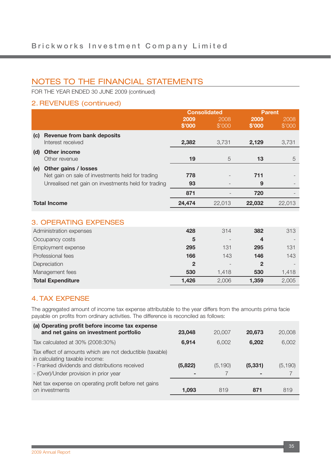FOR THE YEAR ENDED 30 JUNE 2009 (continued)

## 2. REVENUES (continued)

|     |                                                     |              | <b>Consolidated</b> | <b>Parent</b> |        |
|-----|-----------------------------------------------------|--------------|---------------------|---------------|--------|
|     |                                                     | 2009         | 2008                | 2009          | 2008   |
|     |                                                     | \$'000       | \$'000              | \$'000        | \$'000 |
| (c) | <b>Revenue from bank deposits</b>                   |              |                     |               |        |
|     | Interest received                                   | 2,382        | 3,731               | 2,129         | 3,731  |
| (d) | <b>Other income</b>                                 |              |                     |               |        |
|     | Other revenue                                       | 19           | 5                   | 13            | 5      |
| (e) | Other gains / losses                                |              |                     |               |        |
|     | Net gain on sale of investments held for trading    | 778          |                     | 711           |        |
|     | Unrealised net gain on investments held for trading | 93           |                     | 9             |        |
|     |                                                     | 871          |                     | 720           |        |
|     | <b>Total Income</b>                                 | 24,474       | 22,013              | 22,032        | 22,013 |
|     |                                                     |              |                     |               |        |
|     | <b>3. OPERATING EXPENSES</b>                        |              |                     |               |        |
|     | Administration expenses                             | 428          | 314                 | 382           | 313    |
|     | Occupancy costs                                     | 5            |                     | 4             |        |
|     | Employment expense                                  | 295          | 131                 | 295           | 131    |
|     | Professional fees                                   | 166          | 143                 | 146           | 143    |
|     | Depreciation                                        | $\mathbf{2}$ |                     | $\mathbf{2}$  |        |
|     | Management fees                                     | 530          | 1,418               | 530           | 1,418  |
|     | <b>Total Expenditure</b>                            | 1,426        | 2,006               | 1,359         | 2,005  |
|     |                                                     |              |                     |               |        |

## 4. TAX EXPENSE

The aggregated amount of income tax expense attributable to the year differs from the amounts prima facie payable on profits from ordinary activities. The difference is reconciled as follows:

| (a) Operating profit before income tax expense<br>and net gains on investment portfolio                                                      | 23,048  | 20,007   | 20,673   | 20,008   |
|----------------------------------------------------------------------------------------------------------------------------------------------|---------|----------|----------|----------|
| Tax calculated at 30% (2008:30%)                                                                                                             | 6,914   | 6.002    | 6,202    | 6,002    |
| Tax effect of amounts which are not deductible (taxable)<br>in calculating taxable income:<br>- Franked dividends and distributions received | (5,822) | (5, 190) | (5, 331) | (5, 190) |
| - (Over)/Under provision in prior year                                                                                                       |         |          |          |          |
| Net tax expense on operating profit before net gains<br>on investments                                                                       | 1,093   | 819      | 871      | 819      |
|                                                                                                                                              |         |          |          |          |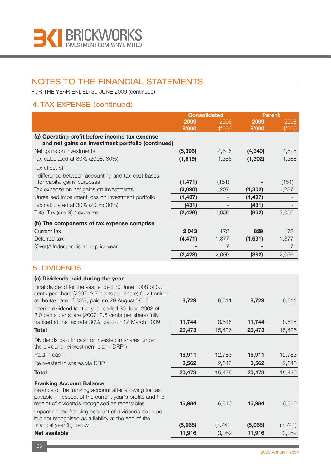

FOR THE YEAR ENDED 30 JUNE 2009 (continued)

## 4. TAX EXPENSE (continued)

|                                                                                                              | <b>Consolidated</b> |                | <b>Parent</b> |                |
|--------------------------------------------------------------------------------------------------------------|---------------------|----------------|---------------|----------------|
|                                                                                                              | 2009                | 2008           | 2009          | 2008           |
|                                                                                                              | \$'000              | \$'000         | \$'000        | \$'000         |
| (a) Operating profit before income tax expense<br>and net gains on investment portfolio (continued)          |                     |                |               |                |
| Net gains on investments                                                                                     | (5, 396)            | 4,625          | (4, 340)      | 4,625          |
| Tax calculated at 30% (2008: 30%)                                                                            | (1,619)             | 1,388          | (1, 302)      | 1,388          |
| Tax effect of:                                                                                               |                     |                |               |                |
| - difference between accounting and tax cost bases                                                           |                     |                |               |                |
| for capital gains purposes                                                                                   | (1, 471)            | (151)          |               | (151)          |
| Tax expense on net gains on investments                                                                      | (3,090)             | 1,237          | (1, 302)      | 1,237          |
| Unrealised impairment loss on investment portfolio                                                           | (1, 437)            |                | (1, 437)      |                |
| Tax calculated at 30% (2008: 30%)                                                                            | (431)               |                | (431)         |                |
| Total Tax (credit) / expense                                                                                 | (2, 428)            | 2,056          | (862)         | 2,056          |
| (b) The components of tax expense comprise                                                                   |                     |                |               |                |
| Current tax                                                                                                  | 2,043               | 172            | 829           | 172            |
| Deferred tax                                                                                                 | (4, 471)            | 1,877          | (1,691)       | 1,877          |
| (Over)/Under provision in prior year                                                                         |                     | $\overline{7}$ |               | $\overline{7}$ |
|                                                                                                              | (2, 428)            | 2,056          | (862)         | 2,056          |
| <b>5. DIVIDENDS</b>                                                                                          |                     |                |               |                |
| (a) Dividends paid during the year                                                                           |                     |                |               |                |
| Final dividend for the year ended 30 June 2008 of 3.0                                                        |                     |                |               |                |
| cents per share (2007: 2.7 cents per share) fully franked                                                    |                     |                |               |                |
| at the tax rate of 30%, paid on 29 August 2008                                                               | 8,729               | 6,811          | 8,729         | 6,811          |
| Interim dividend for the year ended 30 June 2008 of<br>3.0 cents per share (2007: 2.6 cents per share) fully |                     |                |               |                |
| franked at the tax rate 30%, paid on 12 March 2009                                                           | 11,744              | 8,615          | 11,744        | 8,615          |
| <b>Total</b>                                                                                                 | 20,473              | 15,426         | 20,473        | 15,426         |
| Dividends paid in cash or invested in shares under                                                           |                     |                |               |                |
| the dividend reinvestment plan ("DRP")                                                                       |                     |                |               |                |
| Paid in cash                                                                                                 | 16,911              | 12,783         | 16,911        | 12,783         |
| Reinvested in shares via DRP                                                                                 | 3,562               | 2,643          | 3,562         | 2,646          |
| <b>Total</b>                                                                                                 | 20,473              | 15,426         | 20,473        | 15,429         |
|                                                                                                              |                     |                |               |                |
| <b>Franking Account Balance</b><br>Balance of the franking account after allowing for tax                    |                     |                |               |                |
| payable in respect of the current year's profits and the                                                     |                     |                |               |                |
| receipt of dividends recognised as receivables                                                               | 16,984              | 6,810          | 16,984        | 6,810          |
| Impact on the franking account of dividends declared                                                         |                     |                |               |                |
| but not recognised as a liability at the end of the                                                          |                     |                |               |                |
| financial year (b) below                                                                                     | (5,068)             | (3,741)        | (5,068)       | (3,741)        |
| Net available                                                                                                | 11,916              | 3,069          | 11,916        | 3,069          |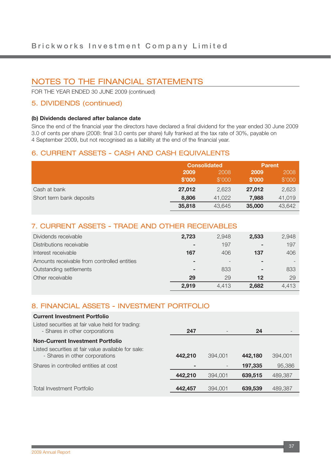FOR THE YEAR ENDED 30 JUNE 2009 (continued)

### 5. DIVIDENDS (continued)

#### **(b) Dividends declared after balance date**

Since the end of the financial year the directors have declared a final dividend for the year ended 30 June 2009 3.0 of cents per share (2008: final 3.0 cents per share) fully franked at the tax rate of 30%, payable on 4 September 2009, but not recognised as a liability at the end of the financial year.

### 6. CURRENT ASSETS - CASH AND CASH EQUIVALENTS

|                          | <b>Consolidated</b> |        | <b>Parent</b> |        |
|--------------------------|---------------------|--------|---------------|--------|
|                          | 2009                | 2008   | 2009          | 2008   |
|                          | \$'000              | \$'000 | \$'000        | \$'000 |
| Cash at bank             | 27,012              | 2,623  | 27,012        | 2,623  |
| Short term bank deposits | 8,806               | 41.022 | 7,988         | 41,019 |
|                          | 35,818              | 43.645 | 35,000        | 43,642 |

### 7. CURRENT ASSETS - TRADE AND OTHER RECEIVABLES

| Dividends receivable                        | 2,723                    | 2.948 | 2,533                    | 2,948 |
|---------------------------------------------|--------------------------|-------|--------------------------|-------|
| Distributions receivable                    | $\blacksquare$           | 197   | $\overline{\phantom{a}}$ | 197   |
| Interest receivable                         | 167                      | 406   | 137                      | 406   |
| Amounts receivable from controlled entities | $\overline{\phantom{a}}$ |       | $\,$                     |       |
| Outstanding settlements                     | $\overline{\phantom{a}}$ | 833   | $\overline{\phantom{a}}$ | 833   |
| Other receivable                            | 29                       | 29    | 12                       | 29    |
|                                             | 2.919                    | 4.413 | 2.682                    | 4.413 |

### 8. FINANCIAL ASSETS - INVESTMENT PORTFOLIO

| <b>Current Investment Portfolio</b>                                                   |         |         |         |         |
|---------------------------------------------------------------------------------------|---------|---------|---------|---------|
| Listed securities at fair value held for trading:<br>- Shares in other corporations   | 247     |         | 24      |         |
| <b>Non-Current Investment Portfolio</b>                                               |         |         |         |         |
| Listed securities at fair value available for sale:<br>- Shares in other corporations | 442,210 | 394,001 | 442.180 | 394,001 |
| Shares in controlled entities at cost                                                 |         |         | 197,335 | 95,386  |
|                                                                                       | 442,210 | 394,001 | 639,515 | 489,387 |
| Total Investment Portfolio                                                            | 442,457 | 394,001 | 639,539 | 489,387 |
|                                                                                       |         |         |         |         |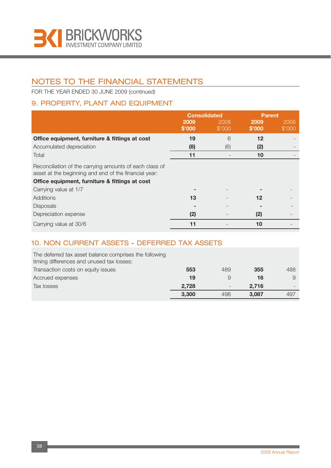

FOR THE YEAR ENDED 30 JUNE 2009 (continued)

## 9. PROPERTY, PLANT AND EQUIPMENT

|                                                                                                                  | <b>Consolidated</b> |        | <b>Parent</b>     |        |
|------------------------------------------------------------------------------------------------------------------|---------------------|--------|-------------------|--------|
|                                                                                                                  | 2009                | 2008   | 2009              | 2008   |
|                                                                                                                  | \$'000              | \$'000 | \$'000            | \$'000 |
| Office equipment, furniture & fittings at cost                                                                   | 19                  | 6      | $12 \overline{ }$ |        |
| Accumulated depreciation                                                                                         | (8)                 | (6)    | (2)               |        |
| Total                                                                                                            | 11                  |        | 10                |        |
| Reconciliation of the carrying amounts of each class of<br>asset at the beginning and end of the financial year: |                     |        |                   |        |
| Office equipment, furniture & fittings at cost                                                                   |                     |        |                   |        |
| Carrying value at 1/7                                                                                            |                     |        |                   |        |
| Additions                                                                                                        | 13                  |        | 12                |        |
| <b>Disposals</b>                                                                                                 |                     |        |                   |        |
| Depreciation expense                                                                                             | (2)                 |        | (2)               |        |
| Carrying value at 30/6                                                                                           | 11                  |        | 10                |        |

## 10. NON CURRENT ASSETS - DEFERRED TAX ASSETS

| The deferred tax asset balance comprises the following<br>timing differences and unused tax losses: |       |                   |       |     |
|-----------------------------------------------------------------------------------------------------|-------|-------------------|-------|-----|
| Transaction costs on equity issues                                                                  | 553   | 489               | 355   | 488 |
| Accrued expenses                                                                                    | 19    | 9                 | 16    |     |
| Tax losses                                                                                          | 2,728 | $\qquad \qquad -$ | 2.716 |     |
|                                                                                                     | 3,300 | 498               | 3.087 | 497 |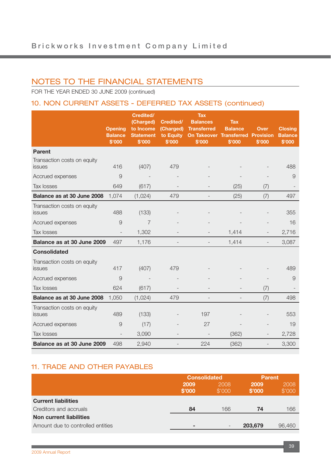FOR THE YEAR ENDED 30 JUNE 2009 (continued)

## 10. NON CURRENT ASSETS - DEFERRED TAX ASSETS (continued)

|                                       | <b>Opening</b><br><b>Balance</b><br>\$'000 | <b>Credited/</b><br>(Charged)<br>to Income<br><b>Statement</b><br>\$'000 | Credited/<br>(Charged)<br>to Equity<br>\$'000 | <b>Tax</b><br><b>Balances</b><br><b>Transferred</b><br><b>On Takeover Transferred Provision</b><br>\$'000 | <b>Tax</b><br><b>Balance</b><br>\$'000 | <b>Over</b><br>\$'000    | <b>Closing</b><br><b>Balance</b><br>\$'000 |
|---------------------------------------|--------------------------------------------|--------------------------------------------------------------------------|-----------------------------------------------|-----------------------------------------------------------------------------------------------------------|----------------------------------------|--------------------------|--------------------------------------------|
| <b>Parent</b>                         |                                            |                                                                          |                                               |                                                                                                           |                                        |                          |                                            |
| Transaction costs on equity<br>issues | 416                                        | (407)                                                                    | 479                                           |                                                                                                           |                                        |                          | 488                                        |
| Accrued expenses                      | $\overline{9}$                             |                                                                          |                                               |                                                                                                           |                                        |                          | $\overline{9}$                             |
| Tax losses                            | 649                                        | (617)                                                                    |                                               |                                                                                                           | (25)                                   | (7)                      |                                            |
| Balance as at 30 June 2008            | 1,074                                      | (1,024)                                                                  | 479                                           | $\overline{a}$                                                                                            | (25)                                   | (7)                      | 497                                        |
| Transaction costs on equity<br>issues | 488                                        | (133)                                                                    |                                               |                                                                                                           |                                        |                          | 355                                        |
| Accrued expenses                      | 9                                          | $\overline{7}$                                                           |                                               |                                                                                                           |                                        |                          | 16                                         |
| Tax losses                            | $\overline{\phantom{0}}$                   | 1,302                                                                    |                                               |                                                                                                           | 1,414                                  |                          | 2,716                                      |
| Balance as at 30 June 2009            | 497                                        | 1,176                                                                    |                                               |                                                                                                           | 1,414                                  | $\overline{\phantom{0}}$ | 3,087                                      |
| <b>Consolidated</b>                   |                                            |                                                                          |                                               |                                                                                                           |                                        |                          |                                            |
| Transaction costs on equity<br>issues | 417                                        | (407)                                                                    | 479                                           |                                                                                                           |                                        |                          | 489                                        |
| Accrued expenses                      | $\overline{9}$                             | $\overline{\phantom{a}}$                                                 |                                               |                                                                                                           |                                        |                          | $\overline{9}$                             |
| Tax losses                            | 624                                        | (617)                                                                    |                                               |                                                                                                           |                                        | (7)                      |                                            |
| Balance as at 30 June 2008            | 1,050                                      | (1,024)                                                                  | 479                                           |                                                                                                           |                                        | (7)                      | 498                                        |
| Transaction costs on equity<br>issues | 489                                        | (133)                                                                    |                                               | 197                                                                                                       |                                        |                          | 553                                        |
| Accrued expenses                      | $\overline{9}$                             | (17)                                                                     |                                               | 27                                                                                                        |                                        |                          | 19                                         |
| Tax losses                            |                                            | 3,090                                                                    |                                               |                                                                                                           | (362)                                  |                          | 2,728                                      |
| Balance as at 30 June 2009            | 498                                        | 2,940                                                                    |                                               | 224                                                                                                       | (362)                                  |                          | 3,300                                      |

## 11. TRADE AND OTHER PAYABLES

|                                   | <b>Consolidated</b> |                          | <b>Parent</b>  |                |
|-----------------------------------|---------------------|--------------------------|----------------|----------------|
|                                   | 2009<br>\$'000      | 2008<br>\$'000           | 2009<br>\$'000 | 2008<br>\$'000 |
| <b>Current liabilities</b>        |                     |                          |                |                |
| Creditors and accruals            | 84                  | 166                      | 74             | 166            |
| Non current liabilities           |                     |                          |                |                |
| Amount due to controlled entities | -                   | $\overline{\phantom{0}}$ | 203,679        | 96,460         |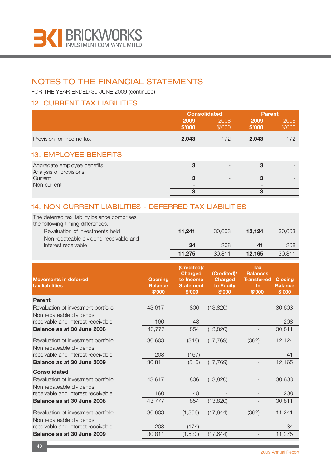

FOR THE YEAR ENDED 30 JUNE 2009 (continued)

## 12. CURRENT TAX LIABILITIES

|                                                   | <b>Consolidated</b> |                | <b>Parent</b>  |                |
|---------------------------------------------------|---------------------|----------------|----------------|----------------|
|                                                   | 2009<br>\$'000      | 2008<br>\$'000 | 2009<br>\$'000 | 2008<br>\$'000 |
| Provision for income tax                          | 2,043               | 172            | 2,043          | 172            |
| <b>13. EMPLOYEE BENEFITS</b>                      |                     |                |                |                |
| Aggregate employee benefits                       | 3                   |                | 3              |                |
| Analysis of provisions:<br>Current<br>Non current | 3                   |                | 3              |                |
|                                                   | 3                   |                | 3              |                |

## 14. NON CURRENT LIABILITIES - DEFERRED TAX LIABILITIES

| The deferred tax liability balance comprises |        |        |        |        |
|----------------------------------------------|--------|--------|--------|--------|
| the following timing differences:            |        |        |        |        |
| Revaluation of investments held              | 11.241 | 30.603 | 12.124 | 30,603 |
| Non rebateable dividend receivable and       |        |        |        |        |
| interest receivable                          | 34     | 208    | 41     | 208    |
|                                              | 11.275 | 30.811 | 12.165 | 30.811 |

| <b>Movements in deferred</b><br>tax liabilities                                        | <b>Opening</b><br><b>Balance</b><br>\$'000 | (Credited)/<br><b>Charged</b><br>to Income<br><b>Statement</b><br>\$'000 | (Credited)/<br><b>Charged</b><br>to Equity<br>\$'000 | <b>Tax</b><br><b>Balances</b><br><b>Transferred</b><br><b>In</b><br>\$'000 | <b>Closing</b><br><b>Balance</b><br>\$'000 |
|----------------------------------------------------------------------------------------|--------------------------------------------|--------------------------------------------------------------------------|------------------------------------------------------|----------------------------------------------------------------------------|--------------------------------------------|
| <b>Parent</b><br>Revaluation of investment portfolio<br>Non rebateable dividends       | 43,617                                     | 806                                                                      | (13, 820)                                            |                                                                            | 30,603                                     |
| receivable and interest receivable                                                     | 160                                        | 48                                                                       |                                                      |                                                                            | 208                                        |
| Balance as at 30 June 2008                                                             | 43,777                                     | 854                                                                      | (13, 820)                                            | $\overline{\phantom{a}}$                                                   | 30,811                                     |
| Revaluation of investment portfolio<br>Non rebateable dividends                        | 30,603                                     | (348)                                                                    | (17, 769)                                            | (362)                                                                      | 12,124                                     |
| receivable and interest receivable                                                     | 208                                        | (167)                                                                    |                                                      |                                                                            | 41                                         |
| Balance as at 30 June 2009                                                             | 30,811                                     | (515)                                                                    | (17, 769)                                            | $\overline{\phantom{a}}$                                                   | 12,165                                     |
| <b>Consolidated</b><br>Revaluation of investment portfolio<br>Non rebateable dividends | 43,617                                     | 806                                                                      | (13, 820)                                            |                                                                            | 30,603                                     |
| receivable and interest receivable                                                     | 160                                        | 48                                                                       |                                                      |                                                                            | 208                                        |
| Balance as at 30 June 2008                                                             | 43,777                                     | 854                                                                      | (13, 820)                                            |                                                                            | 30,811                                     |
| Revaluation of investment portfolio<br>Non rebateable dividends                        | 30,603                                     | (1,356)                                                                  | (17, 644)                                            | (362)                                                                      | 11,241                                     |
| receivable and interest receivable                                                     | 208                                        | (174)                                                                    |                                                      |                                                                            | 34                                         |
| Balance as at 30 June 2009                                                             | 30,811                                     | (1,530)                                                                  | (17, 644)                                            |                                                                            | 11,275                                     |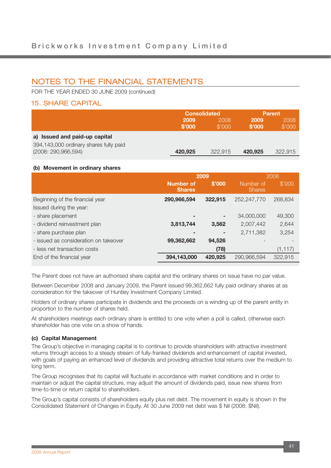FOR THE YEAR ENDED 30 JUNE 2009 (continued)

### 15. SHARE CAPITAL

|                                                                 | <b>Consolidated</b> |                |                       | <b>Parent</b>  |
|-----------------------------------------------------------------|---------------------|----------------|-----------------------|----------------|
|                                                                 | 2009<br>\$'000      | 2008<br>\$'000 | <b>2009</b><br>\$'000 | 2008<br>\$'000 |
| a) Issued and paid-up capital                                   |                     |                |                       |                |
| 394,143,000 ordinary shares fully paid<br>(2008: 290, 966, 594) | 420,925             | 322.915        | 420.925               | 322.915        |

#### **(b) Movement in ordinary shares**

|                                       |                                   | 2009    | 2008                       |          |  |
|---------------------------------------|-----------------------------------|---------|----------------------------|----------|--|
|                                       | <b>Number of</b><br><b>Shares</b> | \$'000  | Number of<br><b>Shares</b> | \$'000   |  |
| Beginning of the financial year       | 290,966,594                       | 322,915 | 252,247,770                | 268.834  |  |
| Issued during the year:               |                                   |         |                            |          |  |
| - share placement                     |                                   |         | 34,000,000                 | 49,300   |  |
| - dividend reinvestment plan          | 3,813,744                         | 3,562   | 2,007,442                  | 2,644    |  |
| - share purchase plan                 |                                   |         | 2,711,382                  | 3,254    |  |
| - issued as consideration on takeover | 99,362,662                        | 94,526  |                            |          |  |
| - less net transaction costs          |                                   | (78)    |                            | (1, 117) |  |
| End of the financial year             | 394,143,000                       | 420,925 | 290,966,594                | 322,915  |  |

The Parent does not have an authorised share capital and the ordinary shares on issue have no par value.

Between December 2008 and January 2009, the Parent issued 99,362,662 fully paid ordinary shares at as consideration for the takeover of Huntley Investment Company Limited.

Holders of ordinary shares participate in dividends and the proceeds on a winding up of the parent entity in proportion to the number of shares held.

At shareholders meetings each ordinary share is entitled to one vote when a poll is called, otherwise each shareholder has one vote on a show of hands.

#### **(c) Capital Management**

The Group's objective in managing capital is to continue to provide shareholders with attractive investment returns through access to a steady stream of fully-franked dividends and enhancement of capital invested, with goals of paying an enhanced level of dividends and providing attractive total returns over the medium to long term.

The Group recognises that its capital will fluctuate in accordance with market conditions and in order to maintain or adjust the capital structure, may adjust the amount of dividends paid, issue new shares from time-to-time or return capital to shareholders.

The Group's capital consists of shareholders equity plus net debt. The movement in equity is shown in the Consolidated Statement of Changes in Equity. At 30 June 2009 net debt was \$ Nil (2008: \$Nil).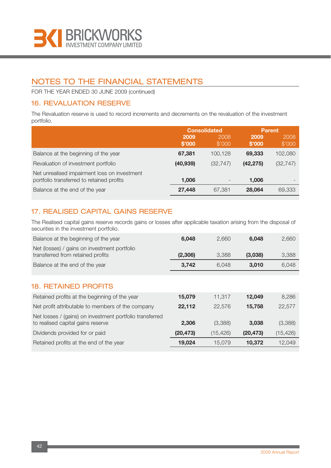

FOR THE YEAR ENDED 30 JUNE 2009 (continued)

## 16. REVALUATION RESERVE

The Revaluation reserve is used to record increments and decrements on the revaluation of the investment portfolio.

|                                                                                           | <b>Consolidated</b> |                          | <b>Parent</b>  |                          |
|-------------------------------------------------------------------------------------------|---------------------|--------------------------|----------------|--------------------------|
|                                                                                           | 2009<br>\$'000      | 2008<br>\$'000           | 2009<br>\$'000 | 2008<br>\$'000           |
| Balance at the beginning of the year                                                      | 67,381              | 100.128                  | 69,333         | 102,080                  |
| Revaluation of investment portfolio                                                       | (40, 939)           | (32, 747)                | (42, 275)      | (32, 747)                |
| Net unrealised impairment loss on investment<br>portfolio transferred to retained profits | 1.006               | $\overline{\phantom{0}}$ | 1.006          | $\overline{\phantom{0}}$ |
| Balance at the end of the year                                                            | 27,448              | 67.381                   | 28,064         | 69,333                   |

## 17. REALISED CAPITAL GAINS RESERVE

The Realised capital gains reserve records gains or losses after applicable taxation arising from the disposal of securities in the investment portfolio.

| Balance at the beginning of the year                                              | 6.048   | 2.660 | 6.048   | 2,660 |
|-----------------------------------------------------------------------------------|---------|-------|---------|-------|
| Net (losses) / gains on investment portfolio<br>transferred from retained profits | (2,306) | 3.388 | (3,038) | 3,388 |
| Balance at the end of the year                                                    | 3.742   | 6.048 | 3.010   | 6.048 |

## 18. RETAINED PROFITS

| Retained profits at the beginning of the year                                                 | 15,079    | 11.317    | 12.049    | 8.286     |
|-----------------------------------------------------------------------------------------------|-----------|-----------|-----------|-----------|
| Net profit attributable to members of the company                                             | 22,112    | 22.576    | 15.758    | 22,577    |
| Net losses / (gains) on investment portfolio transferred<br>to realised capital gains reserve | 2.306     | (3,388)   | 3.038     | (3,388)   |
| Dividends provided for or paid                                                                | (20, 473) | (15, 426) | (20, 473) | (15, 426) |
| Retained profits at the end of the year                                                       | 19.024    | 15.079    | 10,372    | 12,049    |
|                                                                                               |           |           |           |           |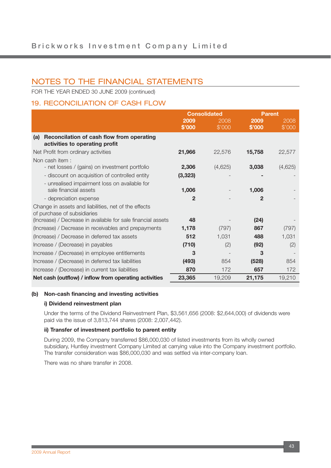FOR THE YEAR ENDED 30 JUNE 2009 (continued)

## 19. RECONCILIATION OF CASH FLOW

|                                                                                                                    | <b>Consolidated</b>   |                | <b>Parent</b>           |                |
|--------------------------------------------------------------------------------------------------------------------|-----------------------|----------------|-------------------------|----------------|
|                                                                                                                    | 2009<br>\$'000        | 2008<br>\$'000 | 2009<br>\$'000          | 2008<br>\$'000 |
| Reconcilation of cash flow from operating<br>(a)<br>activities to operating profit                                 |                       |                |                         |                |
| Net Profit from ordinary activities                                                                                | 21,966                | 22,576         | 15,758                  | 22,577         |
| Non cash item:<br>- net losses / (gains) on investment portfolio<br>- discount on acquisition of controlled entity | 2,306<br>(3, 323)     | (4,625)        | 3,038                   | (4,625)        |
| - unrealised impairment loss on available for<br>sale financial assets<br>- depreciation expense                   | 1,006<br>$\mathbf{2}$ |                | 1,006<br>$\overline{2}$ |                |
| Change in assets and liabilities, net of the effects<br>of purchase of subsidiaries                                |                       |                |                         |                |
| (Increase) / Decrease in available for sale financial assets                                                       | 48                    |                | (24)                    |                |
| (Increase) / Decrease in receivables and prepayments                                                               | 1,178                 | (797)          | 867                     | (797)          |
| (Increase) / Decrease in deferred tax assets                                                                       | 512                   | 1,031          | 488                     | 1,031          |
| Increase / (Decrease) in payables                                                                                  | (710)                 | (2)            | (92)                    | (2)            |
| Increase / (Decrease) in employee entitlements                                                                     | 3                     |                | 3                       |                |
| Increase / (Decrease) in deferred tax liabilities                                                                  | (493)                 | 854            | (528)                   | 854            |
| Increase / (Decrease) in current tax liabilities                                                                   | 870                   | 172            | 657                     | 172            |
| Net cash (outflow) / inflow from operating activities                                                              | 23,365                | 19,209         | 21,175                  | 19,210         |

#### **(b) Non-cash financing and investing activities**

#### **i) Dividend reinvestment plan**

Under the terms of the Dividend Reinvestment Plan, \$3,561,656 (2008: \$2,644,000) of dividends were paid via the issue of 3,813,744 shares (2008: 2,007,442).

#### **ii) Transfer of investment portfolio to parent entity**

During 2009, the Company transferred \$86,000,030 of listed investments from its wholly owned subsidiary, Huntley investment Company Limited at carrying value into the Company investment portfolio. The transfer consideration was \$86,000,030 and was settled via inter-company loan.

There was no share transfer in 2008.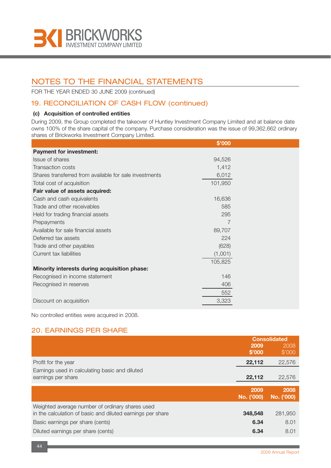

FOR THE YEAR ENDED 30 JUNE 2009 (continued)

## 19. RECONCILIATION OF CASH FLOW (continued)

#### **(c) Acquisition of controlled entities**

During 2009, the Group completed the takeover of Huntley Investment Company Limited and at balance date owns 100% of the share capital of the company. Purchase consideration was the issue of 99,362,662 ordinary shares of Brickworks Investment Company Limited.

|                                                        | \$'000  |  |
|--------------------------------------------------------|---------|--|
| <b>Payment for investment:</b>                         |         |  |
| <b>Issue of shares</b>                                 | 94,526  |  |
| Transaction costs                                      | 1,412   |  |
| Shares transferred from available for sale investments | 6,012   |  |
| Total cost of acquisition                              | 101,950 |  |
| Fair value of assets acquired:                         |         |  |
| Cash and cash equivalents                              | 16,636  |  |
| Trade and other receivables                            | 585     |  |
| Held for trading financial assets                      | 295     |  |
| Prepayments                                            | 7       |  |
| Available for sale financial assets                    | 89,707  |  |
| Deferred tax assets                                    | 224     |  |
| Trade and other payables                               | (628)   |  |
| Current tax liabilities                                | (1,001) |  |
|                                                        | 105,825 |  |
| Minority interests during acquisition phase:           |         |  |
| Recognised in income statement                         | 146     |  |
| Recognised in reserves                                 | 406     |  |
|                                                        | 552     |  |
| Discount on acquisition                                | 3,323   |  |

No controlled entities were acquired in 2008.

## 20. EARNINGS PER SHARE

|                                                                                                               | <b>Consolidated</b> |                    |
|---------------------------------------------------------------------------------------------------------------|---------------------|--------------------|
|                                                                                                               | 2009<br>\$'000      | 2008<br>\$'000     |
| Profit for the year                                                                                           | 22,112              | 22,576             |
| Earnings used in calculating basic and diluted<br>earnings per share                                          | 22,112              | 22,576             |
|                                                                                                               |                     |                    |
|                                                                                                               | 2009<br>No. ('000)  | 2008<br>No. ('000) |
| Weighted average number of ordinary shares used<br>in the calculation of basic and diluted earnings per share | 348,548             | 281,950            |
| Basic earnings per share (cents)                                                                              | 6.34                | 8.01               |
| Diluted earnings per share (cents)                                                                            | 6.34                | 8.01               |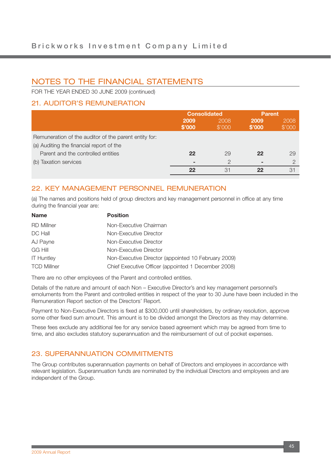FOR THE YEAR ENDED 30 JUNE 2009 (continued)

## 21. AUDITOR'S REMUNERATION

|                                                       | <b>Consolidated</b> |                | <b>Parent</b>  |                |
|-------------------------------------------------------|---------------------|----------------|----------------|----------------|
|                                                       | 2009<br>\$'000      | 2008<br>\$'000 | 2009<br>\$'000 | 2008<br>\$'000 |
| Remuneration of the auditor of the parent entity for: |                     |                |                |                |
| (a) Auditing the financial report of the              |                     |                |                |                |
| Parent and the controlled entities                    | 22                  | 29             | 22             | 29             |
| (b) Taxation services                                 |                     | ◠              | ۰              | $\cap$         |
|                                                       | 22                  | 31             | 22             | 31             |

## 22. KEY MANAGEMENT PERSONNEL REMUNERATION

(a) The names and positions held of group directors and key management personnel in office at any time during the financial year are:

| <b>Name</b>        | <b>Position</b>                                     |
|--------------------|-----------------------------------------------------|
| RD Millner         | Non-Executive Chairman                              |
| DC Hall            | Non-Executive Director                              |
| AJ Payne           | Non-Executive Director                              |
| <b>GG Hill</b>     | Non-Executive Director                              |
| <b>IT Huntley</b>  | Non-Executive Director (appointed 10 February 2009) |
| <b>TCD Millner</b> | Chief Executive Officer (appointed 1 December 2008) |

There are no other employees of the Parent and controlled entities.

Details of the nature and amount of each Non – Executive Director's and key management personnel's emoluments from the Parent and controlled entities in respect of the year to 30 June have been included in the Remuneration Report section of the Directors' Report.

Payment to Non-Executive Directors is fixed at \$300,000 until shareholders, by ordinary resolution, approve some other fixed sum amount. This amount is to be divided amongst the Directors as they may determine.

These fees exclude any additional fee for any service based agreement which may be agreed from time to time, and also excludes statutory superannuation and the reimbursement of out of pocket expenses.

## 23. SUPERANNUATION COMMITMENTS

The Group contributes superannuation payments on behalf of Directors and employees in accordance with relevant legislation. Superannuation funds are nominated by the individual Directors and employees and are independent of the Group.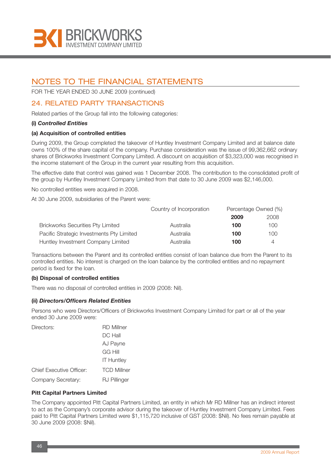

FOR THE YEAR ENDED 30 JUNE 2009 (continued)

## 24. RELATED PARTY TRANSACTIONS

Related parties of the Group fall into the following categories:

#### **(i)** *Controlled Entities*

#### **(a) Acquisition of controlled entities**

During 2009, the Group completed the takeover of Huntley Investment Company Limited and at balance date owns 100% of the share capital of the company. Purchase consideration was the issue of 99,362,662 ordinary shares of Brickworks Investment Company Limited. A discount on acquisition of \$3,323,000 was recognised in the income statement of the Group in the current year resulting from this acquisition.

The effective date that control was gained was 1 December 2008. The contribution to the consolidated profit of the group by Huntley Investment Company Limited from that date to 30 June 2009 was \$2,146,000.

No controlled entities were acquired in 2008.

At 30 June 2009, subsidiaries of the Parent were:

|                                           | Country of Incorporation | Percentage Owned (%) |      |
|-------------------------------------------|--------------------------|----------------------|------|
|                                           |                          | 2009                 | 2008 |
| <b>Brickworks Securities Pty Limited</b>  | Australia                | 100                  | 100  |
| Pacific Strategic Investments Pty Limited | Australia                | 100                  | 100  |
| Huntley Investment Company Limited        | Australia                | 100                  |      |

Transactions between the Parent and its controlled entities consist of loan balance due from the Parent to its controlled entities. No interest is charged on the loan balance by the controlled entities and no repayment period is fixed for the loan.

#### **(b) Disposal of controlled entities**

There was no disposal of controlled entities in 2009 (2008: Nil).

#### **(ii)** *Directors/Officers Related Entities*

Persons who were Directors/Officers of Brickworks Investment Company Limited for part or all of the year ended 30 June 2009 were:

| Directors:                      | <b>RD Millner</b>  |
|---------------------------------|--------------------|
|                                 | DC Hall            |
|                                 | AJ Payne           |
|                                 | GG Hill            |
|                                 | <b>IT Huntley</b>  |
| <b>Chief Executive Officer:</b> | <b>TCD Millner</b> |
| Company Secretary:              | RJ Pillinger       |

#### **Pitt Capital Partners Limited**

The Company appointed Pitt Capital Partners Limited, an entity in which Mr RD Millner has an indirect interest to act as the Company's corporate advisor during the takeover of Huntley Investment Company Limited. Fees paid to Pitt Capital Partners Limited were \$1,115,720 inclusive of GST (2008: \$Nil). No fees remain payable at 30 June 2009 (2008: \$Nil).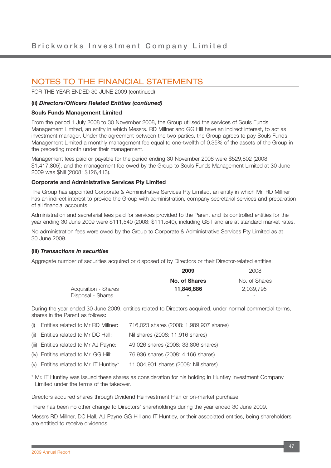FOR THE YEAR ENDED 30 JUNE 2009 (continued)

#### **(ii)** *Directors/Officers Related Entities (contiuned)*

#### **Souls Funds Management Limited**

From the period 1 July 2008 to 30 November 2008, the Group utilised the services of Souls Funds Management Limited, an entity in which Messrs. RD Millner and GG Hill have an indirect interest, to act as investment manager. Under the agreement between the two parties, the Group agrees to pay Souls Funds Management Limited a monthly management fee equal to one-twelfth of 0.35% of the assets of the Group in the preceding month under their management.

Management fees paid or payable for the period ending 30 November 2008 were \$529,802 (2008: \$1,417,805); and the management fee owed by the Group to Souls Funds Management Limited at 30 June 2009 was \$Nil (2008: \$126,413).

#### **Corporate and Administrative Services Pty Limited**

The Group has appointed Corporate & Administrative Services Pty Limited, an entity in which Mr. RD Millner has an indirect interest to provide the Group with administration, company secretarial services and preparation of all financial accounts.

Administration and secretarial fees paid for services provided to the Parent and its controlled entities for the year ending 30 June 2009 were \$111,540 (2008: \$111,540), including GST and are at standard market rates.

No administration fees were owed by the Group to Corporate & Administrative Services Pty Limited as at 30 June 2009.

#### **(iii)** *Transactions in securities*

Aggregate number of securities acquired or disposed of by Directors or their Director-related entities:

|                      | 2009          | 2008          |
|----------------------|---------------|---------------|
|                      | No. of Shares | No. of Shares |
| Acquisition - Shares | 11.846.886    | 2.039.795     |
| Disposal - Shares    |               | -             |

During the year ended 30 June 2009, entities related to Directors acquired, under normal commercial terms, shares in the Parent as follows:

| (i) Entities related to Mr RD Millner:  | 716,023 shares (2008: 1,989,907 shares) |
|-----------------------------------------|-----------------------------------------|
| (ii) Entities related to Mr DC Hall:    | Nil shares (2008: 11,916 shares)        |
| (iii) Entities related to Mr AJ Payne:  | 49,026 shares (2008: 33,806 shares)     |
| (iv) Entities related to Mr. GG Hill:   | 76,936 shares (2008: 4,166 shares)      |
| (v) Entities related to Mr. IT Huntley* | 11,004,901 shares (2008: Nil shares)    |

\* Mr. IT Huntley was issued these shares as consideration for his holding in Huntley Investment Company Limited under the terms of the takeover.

Directors acquired shares through Dividend Reinvestment Plan or on-market purchase.

There has been no other change to Directors' shareholdings during the year ended 30 June 2009.

Messrs RD Millner, DC Hall, AJ Payne GG Hill and IT Huntley, or their associated entities, being shareholders are entitled to receive dividends.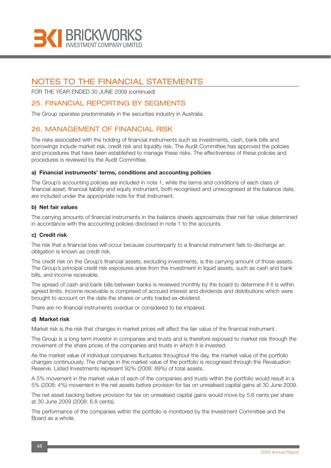

FOR THE YEAR ENDED 30 JUNE 2009 (continued)

### 25. FINANCIAL REPORTING BY SEGMENTS

The Group operates predominately in the securities industry in Australia.

### 26. MANAGEMENT OF FINANCIAL RISK

The risks associated with the holding of financial instruments such as investments, cash, bank bills and borrowings include market risk, credit risk and liquidity risk. The Audit Committee has approved the policies and procedures that have been established to manage these risks. The effectiveness of these policies and procedures is reviewed by the Audit Committee.

#### **a) Financial instruments' terms, conditions and accounting policies**

The Group's accounting policies are included in note 1, while the terms and conditions of each class of financial asset, financial liability and equity instrument, both recognised and unrecognised at the balance date, are included under the appropriate note for that instrument.

#### **b) Net fair values**

The carrying amounts of financial instruments in the balance sheets approximate their net fair value determined in accordance with the accounting policies disclosed in note 1 to the accounts.

#### **c) Credit risk**

The risk that a financial loss will occur because counterparty to a financial instrument fails to discharge an obligation is known as credit risk.

The credit risk on the Group's financial assets, excluding investments, is the carrying amount of those assets. The Group's principal credit risk exposures arise from the investment in liquid assets, such as cash and bank bills, and income receivable.

The spread of cash and bank bills between banks is reviewed monthly by the board to determine if it is within agreed limits. Income receivable is comprised of accrued interest and dividends and distributions which were brought to account on the date the shares or units traded ex-dividend.

There are no financial instruments overdue or considered to be impaired.

#### **d) Market risk**

Market risk is the risk that changes in market prices will affect the fair value of the financial instrument.

The Group is a long term investor in companies and trusts and is therefore exposed to market risk through the movement of the share prices of the companies and trusts in which it is invested.

As the market value of individual companies fluctuates throughout the day, the market value of the portfolio changes continuously. The change in the market value of the portfolio is recognised through the Revaluation Reserve. Listed Investments represent 92% (2008: 89%) of total assets.

A 5% movement in the market value of each of the companies and trusts within the portfolio would result in a 5% (2008: 4%) movement in the net assets before provision for tax on unrealised capital gains at 30 June 2009.

The net asset backing before provision for tax on unrealised capital gains would move by 5.6 cents per share at 30 June 2009 (2008: 6.8 cents).

The performance of the companies within the portfolio is monitored by the Investment Committee and the Board as a whole.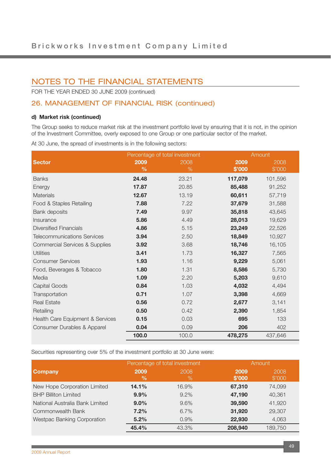FOR THE YEAR ENDED 30 JUNE 2009 (continued)

## 26. MANAGEMENT OF FINANCIAL RISK (continued)

#### **d) Market risk (continued)**

The Group seeks to reduce market risk at the investment portfolio level by ensuring that it is not, in the opinion of the Investment Committee, overly exposed to one Group or one particular sector of the market.

At 30 June, the spread of investments is in the following sectors:

|                                           | Percentage of total investment |       |         | Amount  |
|-------------------------------------------|--------------------------------|-------|---------|---------|
| <b>Sector</b>                             | 2009                           | 2008  | 2009    | 2008    |
|                                           | $\frac{0}{0}$                  | $\%$  | \$'000  | \$'000  |
| <b>Banks</b>                              | 24.48                          | 23.21 | 117,079 | 101,596 |
| Energy                                    | 17.87                          | 20.85 | 85,488  | 91,252  |
| <b>Materials</b>                          | 12.67                          | 13.19 | 60,611  | 57,719  |
| Food & Staples Retailing                  | 7.88                           | 7.22  | 37,679  | 31,588  |
| Bank deposits                             | 7.49                           | 9.97  | 35,818  | 43,645  |
| Insurance                                 | 5.86                           | 4.49  | 28,013  | 19,629  |
| <b>Diversified Financials</b>             | 4.86                           | 5.15  | 23,249  | 22,526  |
| <b>Telecommunications Services</b>        | 3.94                           | 2.50  | 18,849  | 10,927  |
| <b>Commercial Services &amp; Supplies</b> | 3.92                           | 3.68  | 18,746  | 16,105  |
| <b>Utilities</b>                          | 3.41                           | 1.73  | 16,327  | 7,565   |
| <b>Consumer Services</b>                  | 1.93                           | 1.16  | 9,229   | 5,061   |
| Food, Beverages & Tobacco                 | 1.80                           | 1.31  | 8,586   | 5,730   |
| Media                                     | 1.09                           | 2.20  | 5,203   | 9,610   |
| Capital Goods                             | 0.84                           | 1.03  | 4,032   | 4,494   |
| Transportation                            | 0.71                           | 1.07  | 3,398   | 4,669   |
| <b>Real Estate</b>                        | 0.56                           | 0.72  | 2,677   | 3,141   |
| Retailing                                 | 0.50                           | 0.42  | 2,390   | 1,854   |
| Health Care Equipment & Services          | 0.15                           | 0.03  | 695     | 133     |
| Consumer Durables & Apparel               | 0.04                           | 0.09  | 206     | 402     |
|                                           | 100.0                          | 100.0 | 478,275 | 437,646 |

Securities representing over 5% of the investment portfolio at 30 June were:

|                                 | Percentage of total investment |              | Amount         |                |
|---------------------------------|--------------------------------|--------------|----------------|----------------|
| <b>Company</b>                  | 2009<br>$\frac{9}{6}$          | 2008<br>$\%$ | 2009<br>\$'000 | 2008<br>\$'000 |
| New Hope Corporation Limited    | 14.1%                          | 16.9%        | 67,310         | 74,099         |
| <b>BHP Billiton Limited</b>     | 9.9%                           | $9.2\%$      | 47,190         | 40,361         |
| National Australia Bank Limited | $9.0\%$                        | 9.6%         | 39,590         | 41,920         |
| Commonwealth Bank               | 7.2%                           | $6.7\%$      | 31,920         | 29,307         |
| Westpac Banking Corporation     | 5.2%                           | 0.9%         | 22,930         | 4,063          |
|                                 | 45.4%                          | 43.3%        | 208,940        | 189,750        |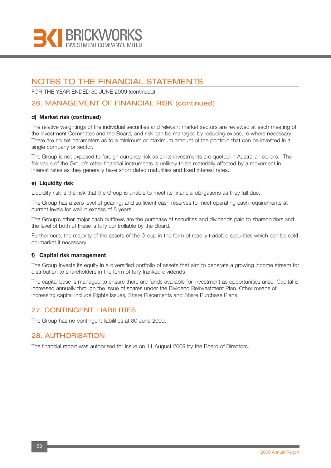

FOR THE YEAR ENDED 30 JUNE 2009 (continued)

## 26. MANAGEMENT OF FINANCIAL RISK (continued)

#### **d) Market risk (continued)**

The relative weightings of the individual securities and relevant market sectors are reviewed at each meeting of the investment Committee and the Board, and risk can be managed by reducing exposure where necessary. There are no set parameters as to a minimum or maximum amount of the portfolio that can be invested in a single company or sector.

The Group is not exposed to foreign currency risk as all its investments are quoted in Australian dollars. The fair value of the Group's other financial instruments is unlikely to be materially affected by a movement in interest rates as they generally have short dated maturities and fixed interest rates.

#### **e) Liquidity risk**

Liquidity risk is the risk that the Group is unable to meet its financial obligations as they fall due.

The Group has a zero level of gearing, and sufficient cash reserves to meet operating cash requirements at current levels for well in excess of 5 years.

The Group's other major cash outflows are the purchase of securities and dividends paid to shareholders and the level of both of these is fully controllable by the Board.

Furthermore, the majority of the assets of the Group in the form of readily tradable securities which can be sold on-market if necessary.

#### **f) Capital risk management**

The Group invests its equity in a diversified portfolio of assets that aim to generate a growing income stream for distribution to shareholders in the form of fully franked dividends.

The capital base is managed to ensure there are funds available for investment as opportunities arise. Capital is increased annually through the issue of shares under the Dividend Reinvestment Plan. Other means of increasing capital include Rights Issues, Share Placements and Share Purchase Plans.

### 27. CONTINGENT LIABILITIES

The Group has no contingent liabilities at 30 June 2009.

### 28. AUTHORISATION

The financial report was authorised for issue on 11 August 2009 by the Board of Directors.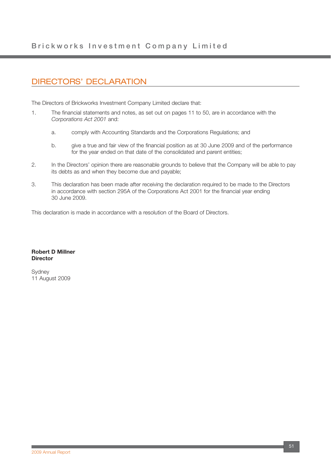## DIRECTORS' DECLARATION

The Directors of Brickworks Investment Company Limited declare that:

- 1. The financial statements and notes, as set out on pages 11 to 50, are in accordance with the *Corporations Act 2001* and:
	- a. comply with Accounting Standards and the Corporations Regulations; and
	- b. give a true and fair view of the financial position as at 30 June 2009 and of the performance for the year ended on that date of the consolidated and parent entities;
- 2. In the Directors' opinion there are reasonable grounds to believe that the Company will be able to pay its debts as and when they become due and payable;
- 3. This declaration has been made after receiving the declaration required to be made to the Directors in accordance with section 295A of the Corporations Act 2001 for the financial year ending 30 June 2009.

This declaration is made in accordance with a resolution of the Board of Directors.

#### **Robert D Millner Director**

**Sydney** 11 August 2009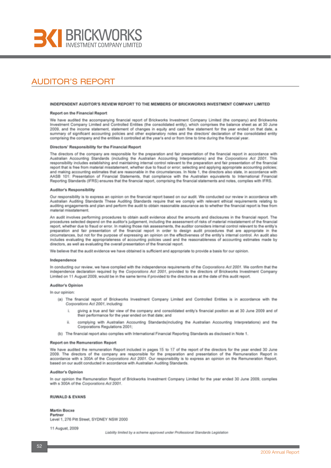

## AUDITOR'S REPORT

#### INDEPENDENT AUDITOR'S REVIEW REPORT TO THE MEMBERS OF BRICKWORKS INVESTMENT COMPANY LIMITED

#### Report on the Financial Report

We have audited the accompanying financial report of Brickworks Investment Company Limited (the company) and Brickworks Investment Company Limited and Controlled Entities (the consolidated entity), which comprises the balance sheet as at 30 June 2009, and the income statement, statement of changes in equity and cash flow statement for the year ended on that date, a summary of significant accounting policies and other explanatory notes and the directors' declaration of the consolidated entity comprising the company and the entities it controlled at the year's end or from time to time during the financial year.

#### Directors' Responsibility for the Financial Report

The directors of the company are responsible for the preparation and fair presentation of the financial report in accordance with<br>Australian Accounting Standards (including the Australian Accounting Interpretations) and th responsibility includes establishing and maintaining internal control relevant to the preparation and fair presentation of the financial report that is free from material misstatement, whether due to fraud or error; selecting and applying appropriate accounting policies; and making accounting estimates that are reasonable in the circumstances. In Note 1, the directors also state, in accordance with AASB 101: Presentation of Financial Statements, that compliance with the Australian equivalents to International Financial Reporting Standards (IFRS) ensures that the financial report, comprising the financial statements and notes, complies with IFRS.

#### Auditor's Responsibility

Our responsibility is to express an opinion on the financial report based on our audit. We conducted our review in accordance with Australian Auditing Standards These Auditing Standards require that we comply with relevant ethical requirements relating to auditing engagements and plan and perform the audit to obtain reasonable assurance as to whether the financial report is free from material misstatement.

An audit involves performing procedures to obtain audit evidence about the amounts and disclosures in the financial report. The procedures selected depend on the auditor's judgement, including the assessment of risks of material misstatement of the financial report, whether due to fraud or error. In making those risk assessments, the auditor considers internal control relevant to the entity's preparation and fair presentation of the financial report in order to design audit procedures that are appropriate in the circumstances, but not for the purpose of expressing an opinion on the effectiveness of the entity's internal control. An audit also includes evaluating the appropriateness of accounting policies used and the reasonableness of accounting estimates made by directors, as well as evaluating the overall presentation of the financial report.

We believe that the audit evidence we have obtained is sufficient and appropriate to provide a basis for our opinion.

#### Independence

In conducting our review, we have complied with the independence requirements of the Corporations Act 2001. We confirm that the independence declaration required by the Corporations Act 2001, provided to the directors of Brickworks Investment Company Limited on 11 August 2009, would be in the same terms if provided to the directors as at the date of this audit report.

#### Auditor's Opinion

In our opinion

- (a) The financial report of Brickworks Investment Company Limited and Controlled Entities is in accordance with the Corporations Act 2001, including:
	- giving a true and fair view of the company and consolidated entity's financial position as at 30 June 2009 and of their performance for the year ended on that date; and
	- complying with Australian Accounting Standards/including the Australian Accounting Interpretations) and the  $\overline{a}$ Corporations Regulations 2001:
- (b) The financial report also complies with International Financial Reporting Standards as disclosed in Note 1.

#### Report on the Remuneration Report

We have audited the remuneration Report included in pages 15 to 17 of the report of the directors for the year ended 30 June 2009. The directors of the company are responsible for the preparation and presentation of the Remuneration Report in accordance with s 300A of the Corporations Act 2001. Our responsibility is to express an opinion on the Remuneration Report. based on our audit conducted in accordance with Australian Auditing Standards.

#### Auditor's Oninion

In our opinion the Remuneration Report of Brickworks Investment Company Limited for the year ended 30 June 2009, complies with s 300A of the Corporations Act 2001.

#### **RUWALD & EVANS**

#### **Martin Bocxe** Partner

Level 1, 276 Pitt Street, SYDNEY NSW 2000

11 August, 2009

Liability limited by a scheme approved under Professional Standards Legislation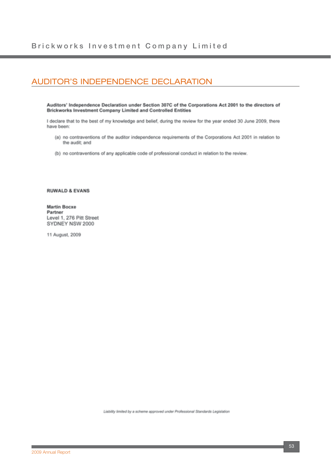## AUDITOR'S INDEPENDENCE DECLARATION

Auditors' Independence Declaration under Section 307C of the Corporations Act 2001 to the directors of Brickworks Investment Company Limited and Controlled Entities

I declare that to the best of my knowledge and belief, during the review for the year ended 30 June 2009, there have been:

- (a) no contraventions of the auditor independence requirements of the Corporations Act 2001 in relation to the audit; and
- (b) no contraventions of any applicable code of professional conduct in relation to the review.

#### **RUWALD & EVANS**

**Martin Bocxe** Partner Level 1, 276 Pitt Street SYDNEY NSW 2000

11 August, 2009

Liability limited by a scheme approved under Professional Standards Legislation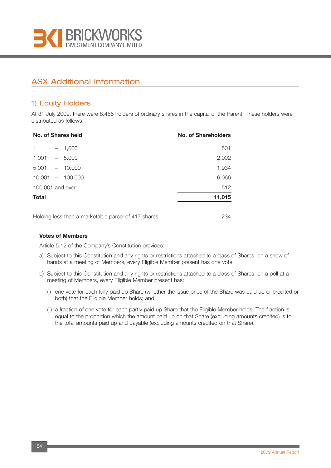

## ASX Additional Information

## 1) Equity Holders

At 31 July 2009, there were 8,466 holders of ordinary shares in the capital of the Parent. These holders were distributed as follows:

|                  | No. of Shares held |  | No. of Shareholders  |
|------------------|--------------------|--|----------------------|
| 1                | $-1,000$           |  | 501                  |
| $1,001 - 5,000$  |                    |  | 2,002                |
| 5,001            | $-10,000$          |  | 1,934                |
|                  | $10,001 - 100,000$ |  | 6,066                |
| 100,001 and over |                    |  | 512                  |
| <b>Total</b>     |                    |  | 11,015               |
|                  |                    |  |                      |
|                  |                    |  | $\sim$ $\sim$ $\sim$ |

Holding less than a marketable parcel of 417 shares 234

#### **Votes of Members**

Article 5.12 of the Company's Constitution provides:

- a) Subject to this Constitution and any rights or restrictions attached to a class of Shares, on a show of hands at a meeting of Members, every Eligible Member present has one vote.
- b) Subject to this Constitution and any rights or restrictions attached to a class of Shares, on a poll at a meeting of Members, every Eligible Member present has:
	- (i) one vote for each fully paid up Share (whether the issue price of the Share was paid up or credited or both) that the Eligible Member holds; and
	- (ii) a fraction of one vote for each partly paid up Share that the Eligible Member holds. The fraction is equal to the proportion which the amount paid up on that Share (excluding amounts credited) is to the total amounts paid up and payable (excluding amounts credited on that Share).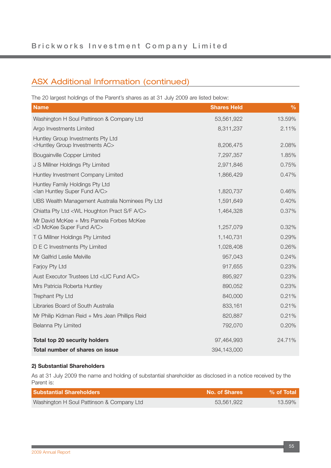## ASX Additional Information (continued)

The 20 largest holdings of the Parent's shares as at 31 July 2009 are listed below:

| <b>Name</b>                                                                             | <b>Shares Held</b> | $\frac{0}{6}$ |
|-----------------------------------------------------------------------------------------|--------------------|---------------|
| Washington H Soul Pattinson & Company Ltd                                               | 53,561,922         | 13.59%        |
| Argo Investments Limited                                                                | 8,311,237          | 2.11%         |
| Huntley Group Investments Pty Ltd<br><huntley ac="" group="" investments=""></huntley>  | 8,206,475          | 2.08%         |
| <b>Bougainville Copper Limited</b>                                                      | 7,297,357          | 1.85%         |
|                                                                                         |                    |               |
| J S Millner Holdings Pty Limited                                                        | 2,971,846          | 0.75%         |
| Huntley Investment Company Limited                                                      | 1,866,429          | 0.47%         |
| Huntley Family Holdings Pty Ltd<br><lan a="" c="" fund="" huntley="" super=""></lan>    | 1,820,737          | 0.46%         |
| UBS Wealth Management Australia Nominees Pty Ltd                                        | 1,591,649          | 0.40%         |
| Chiatta Pty Ltd <wl a="" c="" f="" houghton="" pract="" s=""></wl>                      | 1,464,328          | 0.37%         |
| Mr David McKee + Mrs Pamela Forbes McKee<br><d a="" c="" fund="" mckee="" super=""></d> | 1,257,079          | 0.32%         |
| T G Millner Holdings Pty Limited                                                        | 1,140,731          | 0.29%         |
| D E C Investments Pty Limited                                                           | 1,028,408          | 0.26%         |
| Mr Galfrid Leslie Melville                                                              | 957,043            | 0.24%         |
| Farjoy Pty Ltd                                                                          | 917,655            | 0.23%         |
| Aust Executor Trustees Ltd <lic a="" c="" fund=""></lic>                                | 895,927            | 0.23%         |
| Mrs Patricia Roberta Huntley                                                            | 890,052            | 0.23%         |
| Trephant Pty Ltd                                                                        | 840,000            | 0.21%         |
| Libraries Board of South Australia                                                      | 833,161            | 0.21%         |
| Mr Philip Kidman Reid + Mrs Jean Phillips Reid                                          | 820,887            | 0.21%         |
| Belanna Pty Limited                                                                     | 792,070            | 0.20%         |
| <b>Total top 20 security holders</b>                                                    | 97,464,993         | 24.71%        |
| Total number of shares on issue                                                         | 394,143,000        |               |

#### **2) Substantial Shareholders**

As at 31 July 2009 the name and holding of substantial shareholder as disclosed in a notice received by the Parent is:

| <b>Substantial Shareholders</b>           | <b>No. of Shares</b> | $%$ of Total |
|-------------------------------------------|----------------------|--------------|
| Washington H Soul Pattinson & Company Ltd | 53.561.922           | 13.59%       |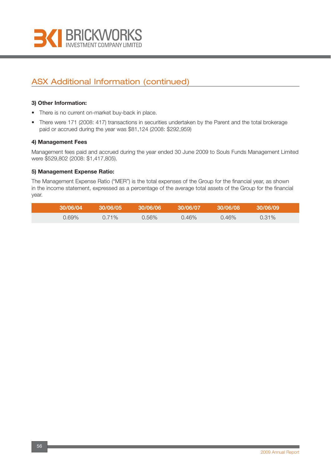

## ASX Additional Information (continued)

#### **3) Other Information:**

- There is no current on-market buy-back in place.
- There were 171 (2008: 417) transactions in securities undertaken by the Parent and the total brokerage paid or accrued during the year was \$81,124 (2008: \$292,959)

#### **4) Management Fees**

Management fees paid and accrued during the year ended 30 June 2009 to Souls Funds Management Limited were \$529,802 (2008: \$1,417,805).

#### **5) Management Expense Ratio:**

The Management Expense Ratio ("MER") is the total expenses of the Group for the financial year, as shown in the income statement, expressed as a percentage of the average total assets of the Group for the financial year.

| 30/06/04 | .30/06/05 | 30/06/06 | 30/06/07 | 30/06/08 | 30/06/09 |  |
|----------|-----------|----------|----------|----------|----------|--|
| $0.69\%$ | $0.71\%$  | $0.56\%$ | $0.46\%$ | $0.46\%$ | $0.31\%$ |  |